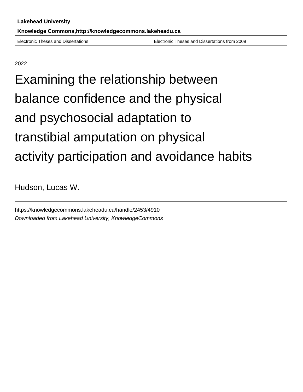Electronic Theses and Dissertations Electronic Theses and Dissertations from 2009

2022

Examining the relationship between balance confidence and the physical and psychosocial adaptation to transtibial amputation on physical activity participation and avoidance habits

Hudson, Lucas W.

https://knowledgecommons.lakeheadu.ca/handle/2453/4910 Downloaded from Lakehead University, KnowledgeCommons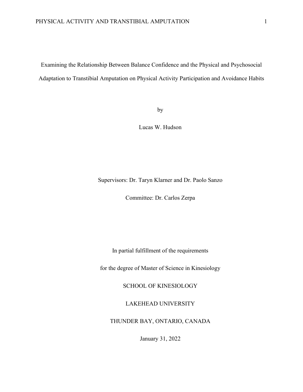Examining the Relationship Between Balance Confidence and the Physical and Psychosocial Adaptation to Transtibial Amputation on Physical Activity Participation and Avoidance Habits

by

Lucas W. Hudson

Supervisors: Dr. Taryn Klarner and Dr. Paolo Sanzo

Committee: Dr. Carlos Zerpa

In partial fulfillment of the requirements

for the degree of Master of Science in Kinesiology

SCHOOL OF KINESIOLOGY

LAKEHEAD UNIVERSITY

THUNDER BAY, ONTARIO, CANADA

January 31, 2022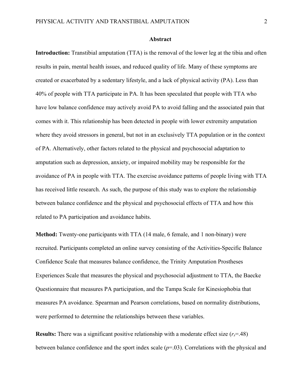#### **Abstract**

**Introduction:** Transtibial amputation (TTA) is the removal of the lower leg at the tibia and often results in pain, mental health issues, and reduced quality of life. Many of these symptoms are created or exacerbated by a sedentary lifestyle, and a lack of physical activity (PA). Less than 40% of people with TTA participate in PA. It has been speculated that people with TTA who have low balance confidence may actively avoid PA to avoid falling and the associated pain that comes with it. This relationship has been detected in people with lower extremity amputation where they avoid stressors in general, but not in an exclusively TTA population or in the context of PA. Alternatively, other factors related to the physical and psychosocial adaptation to amputation such as depression, anxiety, or impaired mobility may be responsible for the avoidance of PA in people with TTA. The exercise avoidance patterns of people living with TTA has received little research. As such, the purpose of this study was to explore the relationship between balance confidence and the physical and psychosocial effects of TTA and how this related to PA participation and avoidance habits.

**Method:** Twenty-one participants with TTA (14 male, 6 female, and 1 non-binary) were recruited. Participants completed an online survey consisting of the Activities-Specific Balance Confidence Scale that measures balance confidence, the Trinity Amputation Prostheses Experiences Scale that measures the physical and psychosocial adjustment to TTA, the Baecke Questionnaire that measures PA participation, and the Tampa Scale for Kinesiophobia that measures PA avoidance. Spearman and Pearson correlations, based on normality distributions, were performed to determine the relationships between these variables.

**Results:** There was a significant positive relationship with a moderate effect size (*rs*=.48) between balance confidence and the sport index scale (*p*=.03). Correlations with the physical and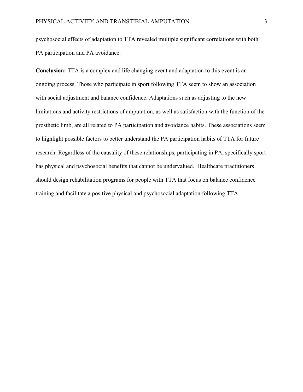psychosocial effects of adaptation to TTA revealed multiple significant correlations with both PA participation and PA avoidance.

**Conclusion:** TTA is a complex and life changing event and adaptation to this event is an ongoing process. Those who participate in sport following TTA seem to show an association with social adjustment and balance confidence. Adaptations such as adjusting to the new limitations and activity restrictions of amputation, as well as satisfaction with the function of the prosthetic limb, are all related to PA participation and avoidance habits. These associations seem to highlight possible factors to better understand the PA participation habits of TTA for future research. Regardless of the causality of these relationships, participating in PA, specifically sport has physical and psychosocial benefits that cannot be undervalued. Healthcare practitioners should design rehabilitation programs for people with TTA that focus on balance confidence training and facilitate a positive physical and psychosocial adaptation following TTA.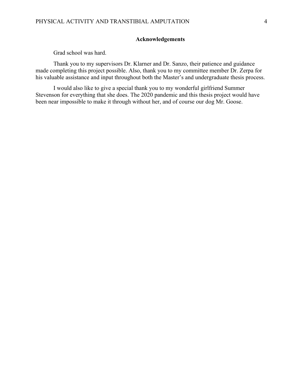### **Acknowledgements**

Grad school was hard.

Thank you to my supervisors Dr. Klarner and Dr. Sanzo, their patience and guidance made completing this project possible. Also, thank you to my committee member Dr. Zerpa for his valuable assistance and input throughout both the Master's and undergraduate thesis process.

I would also like to give a special thank you to my wonderful girlfriend Summer Stevenson for everything that she does. The 2020 pandemic and this thesis project would have been near impossible to make it through without her, and of course our dog Mr. Goose.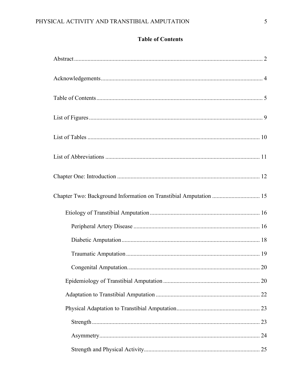## **Table of Contents**

| Chapter Two: Background Information on Transtibial Amputation  15 |  |
|-------------------------------------------------------------------|--|
|                                                                   |  |
|                                                                   |  |
|                                                                   |  |
|                                                                   |  |
|                                                                   |  |
|                                                                   |  |
|                                                                   |  |
|                                                                   |  |
|                                                                   |  |
|                                                                   |  |
|                                                                   |  |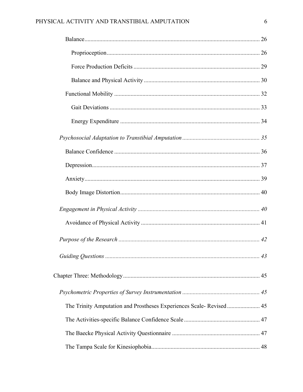### PHYSICAL ACTIVITY AND TRANSTIBIAL AMPUTATION

| The Trinity Amputation and Prostheses Experiences Scale-Revised 45 |  |
|--------------------------------------------------------------------|--|
|                                                                    |  |
|                                                                    |  |
|                                                                    |  |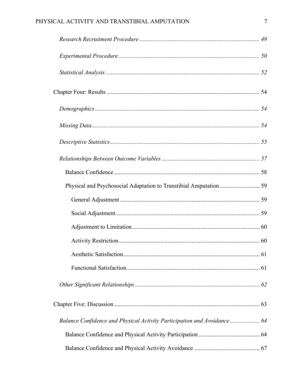### PHYSICAL ACTIVITY AND TRANSTIBIAL AMPUTATION

| Balance Confidence and Physical Activity Participation and Avoidance 64 |  |
|-------------------------------------------------------------------------|--|
|                                                                         |  |
|                                                                         |  |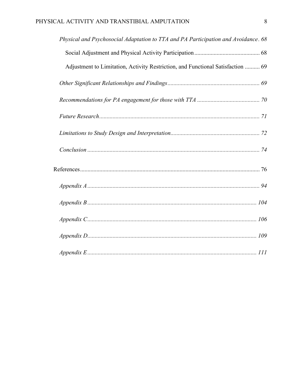| Physical and Psychosocial Adaptation to TTA and PA Participation and Avoidance. 68 |  |
|------------------------------------------------------------------------------------|--|
|                                                                                    |  |
| Adjustment to Limitation, Activity Restriction, and Functional Satisfaction  69    |  |
|                                                                                    |  |
|                                                                                    |  |
|                                                                                    |  |
|                                                                                    |  |
|                                                                                    |  |
|                                                                                    |  |
|                                                                                    |  |
|                                                                                    |  |
|                                                                                    |  |
|                                                                                    |  |
|                                                                                    |  |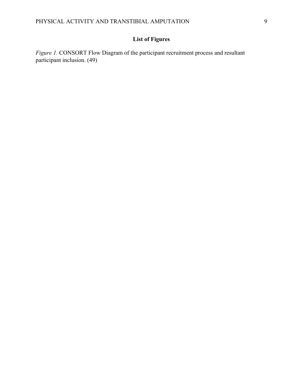# **List of Figures**

*Figure 1.* CONSORT Flow Diagram of the participant recruitment process and resultant participant inclusion. (49)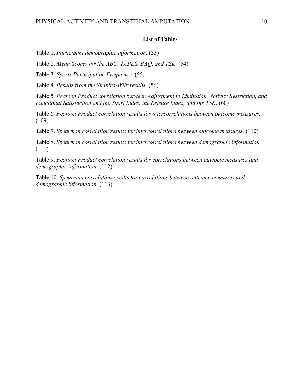#### **List of Tables**

Table 1. *Participant demographic information.* (53)

Table 2. *Mean Scores for the ABC, TAPES, BAQ, and TSK.* (54)

Table 3. *Sports Participation Frequency.* (55)

Table 4. *Results from the Shapiro-Wilk results.* (56)

Table 5*. Pearson Product correlation between Adjustment to Limitation, Activity Restriction, and Functional Satisfaction and the Sport Index, the Leisure Index, and the TSK.* (60)

Table 6*. Pearson Product correlation results for intercorrelations between outcome measures.*   $(109)$ 

Table 7. *Spearman correlation results for intercorrelations between outcome measures.* (110)

Table 8. *Spearman correlation results for intercorrelations between demographic information.*  (111)

Table 9. *Pearson Product correlation results for correlations between outcome measures and demographic information.* (112)

Table 10. *Spearman correlation results for correlations between outcome measures and demographic information.* (113)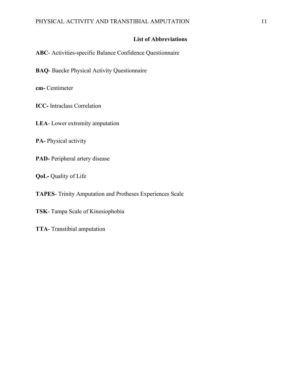### **List of Abbreviations**

**ABC**- Activities-specific Balance Confidence Questionnaire

**BAQ**- Baecke Physical Activity Questionnaire

**cm-** Centimeter

**ICC-** Intraclass Correlation

**LEA**- Lower extremity amputation

**PA-** Physical activity

**PAD-** Peripheral artery disease

**QoL-** Quality of Life

**TAPES**- Trinity Amputation and Protheses Experiences Scale

**TSK**- Tampa Scale of Kinesiophobia

**TTA**- Transtibial amputation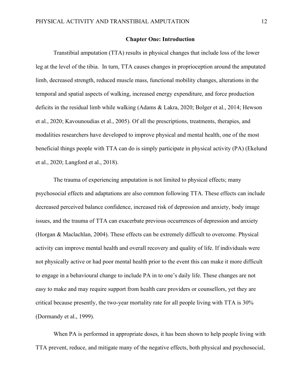#### **Chapter One: Introduction**

Transtibial amputation (TTA) results in physical changes that include loss of the lower leg at the level of the tibia. In turn, TTA causes changes in proprioception around the amputated limb, decreased strength, reduced muscle mass, functional mobility changes, alterations in the temporal and spatial aspects of walking, increased energy expenditure, and force production deficits in the residual limb while walking (Adams & Lakra, 2020; Bolger et al., 2014; Hewson et al., 2020; Kavounoudias et al., 2005). Of all the prescriptions, treatments, therapies, and modalities researchers have developed to improve physical and mental health, one of the most beneficial things people with TTA can do is simply participate in physical activity (PA) (Ekelund et al., 2020; Langford et al., 2018).

The trauma of experiencing amputation is not limited to physical effects; many psychosocial effects and adaptations are also common following TTA. These effects can include decreased perceived balance confidence, increased risk of depression and anxiety, body image issues, and the trauma of TTA can exacerbate previous occurrences of depression and anxiety (Horgan & Maclachlan, 2004). These effects can be extremely difficult to overcome. Physical activity can improve mental health and overall recovery and quality of life. If individuals were not physically active or had poor mental health prior to the event this can make it more difficult to engage in a behavioural change to include PA in to one's daily life. These changes are not easy to make and may require support from health care providers or counsellors, yet they are critical because presently, the two-year mortality rate for all people living with TTA is 30% (Dormandy et al., 1999).

When PA is performed in appropriate doses, it has been shown to help people living with TTA prevent, reduce, and mitigate many of the negative effects, both physical and psychosocial,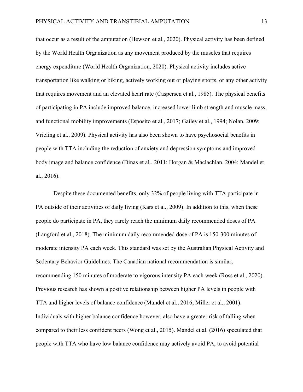that occur as a result of the amputation (Hewson et al., 2020). Physical activity has been defined by the World Health Organization as any movement produced by the muscles that requires energy expenditure (World Health Organization, 2020). Physical activity includes active transportation like walking or biking, actively working out or playing sports, or any other activity that requires movement and an elevated heart rate (Caspersen et al., 1985). The physical benefits of participating in PA include improved balance, increased lower limb strength and muscle mass, and functional mobility improvements (Esposito et al., 2017; Gailey et al., 1994; Nolan, 2009; Vrieling et al., 2009). Physical activity has also been shown to have psychosocial benefits in people with TTA including the reduction of anxiety and depression symptoms and improved body image and balance confidence (Dinas et al., 2011; Horgan & Maclachlan, 2004; Mandel et al., 2016).

Despite these documented benefits, only 32% of people living with TTA participate in PA outside of their activities of daily living (Kars et al., 2009). In addition to this, when these people do participate in PA, they rarely reach the minimum daily recommended doses of PA (Langford et al., 2018). The minimum daily recommended dose of PA is 150-300 minutes of moderate intensity PA each week. This standard was set by the Australian Physical Activity and Sedentary Behavior Guidelines. The Canadian national recommendation is similar, recommending 150 minutes of moderate to vigorous intensity PA each week (Ross et al., 2020). Previous research has shown a positive relationship between higher PA levels in people with TTA and higher levels of balance confidence (Mandel et al., 2016; Miller et al., 2001). Individuals with higher balance confidence however, also have a greater risk of falling when compared to their less confident peers (Wong et al., 2015). Mandel et al. (2016) speculated that people with TTA who have low balance confidence may actively avoid PA, to avoid potential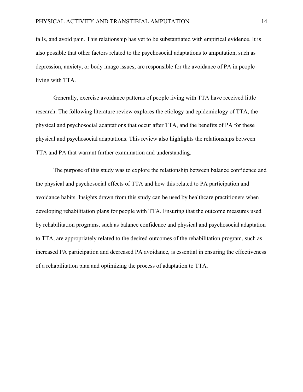falls, and avoid pain. This relationship has yet to be substantiated with empirical evidence. It is also possible that other factors related to the psychosocial adaptations to amputation, such as depression, anxiety, or body image issues, are responsible for the avoidance of PA in people living with TTA.

Generally, exercise avoidance patterns of people living with TTA have received little research. The following literature review explores the etiology and epidemiology of TTA, the physical and psychosocial adaptations that occur after TTA, and the benefits of PA for these physical and psychosocial adaptations. This review also highlights the relationships between TTA and PA that warrant further examination and understanding.

The purpose of this study was to explore the relationship between balance confidence and the physical and psychosocial effects of TTA and how this related to PA participation and avoidance habits. Insights drawn from this study can be used by healthcare practitioners when developing rehabilitation plans for people with TTA. Ensuring that the outcome measures used by rehabilitation programs, such as balance confidence and physical and psychosocial adaptation to TTA, are appropriately related to the desired outcomes of the rehabilitation program, such as increased PA participation and decreased PA avoidance, is essential in ensuring the effectiveness of a rehabilitation plan and optimizing the process of adaptation to TTA.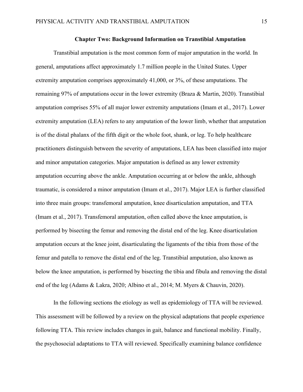#### **Chapter Two: Background Information on Transtibial Amputation**

Transtibial amputation is the most common form of major amputation in the world. In general, amputations affect approximately 1.7 million people in the United States. Upper extremity amputation comprises approximately 41,000, or 3%, of these amputations. The remaining 97% of amputations occur in the lower extremity (Braza & Martin, 2020). Transtibial amputation comprises 55% of all major lower extremity amputations (Imam et al., 2017). Lower extremity amputation (LEA) refers to any amputation of the lower limb, whether that amputation is of the distal phalanx of the fifth digit or the whole foot, shank, or leg. To help healthcare practitioners distinguish between the severity of amputations, LEA has been classified into major and minor amputation categories. Major amputation is defined as any lower extremity amputation occurring above the ankle. Amputation occurring at or below the ankle, although traumatic, is considered a minor amputation (Imam et al., 2017). Major LEA is further classified into three main groups: transfemoral amputation, knee disarticulation amputation, and TTA (Imam et al., 2017). Transfemoral amputation, often called above the knee amputation, is performed by bisecting the femur and removing the distal end of the leg. Knee disarticulation amputation occurs at the knee joint, disarticulating the ligaments of the tibia from those of the femur and patella to remove the distal end of the leg. Transtibial amputation, also known as below the knee amputation, is performed by bisecting the tibia and fibula and removing the distal end of the leg (Adams & Lakra, 2020; Albino et al., 2014; M. Myers & Chauvin, 2020).

In the following sections the etiology as well as epidemiology of TTA will be reviewed. This assessment will be followed by a review on the physical adaptations that people experience following TTA. This review includes changes in gait, balance and functional mobility. Finally, the psychosocial adaptations to TTA will reviewed. Specifically examining balance confidence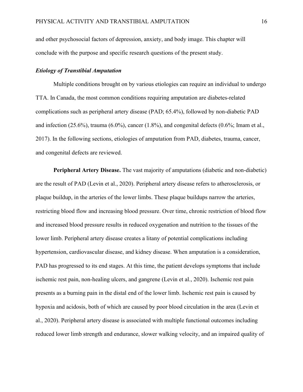and other psychosocial factors of depression, anxiety, and body image. This chapter will conclude with the purpose and specific research questions of the present study.

#### *Etiology of Transtibial Amputation*

Multiple conditions brought on by various etiologies can require an individual to undergo TTA. In Canada, the most common conditions requiring amputation are diabetes-related complications such as peripheral artery disease (PAD; 65.4%), followed by non-diabetic PAD and infection  $(25.6\%)$ , trauma  $(6.0\%)$ , cancer  $(1.8\%)$ , and congenital defects  $(0.6\%$ ; Imam et al., 2017). In the following sections, etiologies of amputation from PAD, diabetes, trauma, cancer, and congenital defects are reviewed.

**Peripheral Artery Disease.** The vast majority of amputations (diabetic and non-diabetic) are the result of PAD (Levin et al., 2020). Peripheral artery disease refers to atherosclerosis, or plaque buildup, in the arteries of the lower limbs. These plaque buildups narrow the arteries, restricting blood flow and increasing blood pressure. Over time, chronic restriction of blood flow and increased blood pressure results in reduced oxygenation and nutrition to the tissues of the lower limb. Peripheral artery disease creates a litany of potential complications including hypertension, cardiovascular disease, and kidney disease. When amputation is a consideration, PAD has progressed to its end stages. At this time, the patient develops symptoms that include ischemic rest pain, non-healing ulcers, and gangrene (Levin et al., 2020). Ischemic rest pain presents as a burning pain in the distal end of the lower limb. Ischemic rest pain is caused by hypoxia and acidosis, both of which are caused by poor blood circulation in the area (Levin et al., 2020). Peripheral artery disease is associated with multiple functional outcomes including reduced lower limb strength and endurance, slower walking velocity, and an impaired quality of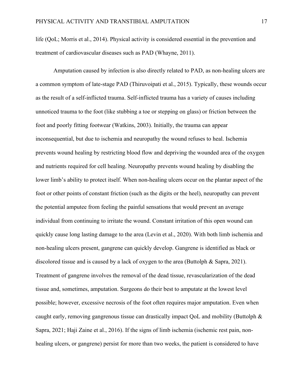life (QoL; Morris et al., 2014). Physical activity is considered essential in the prevention and treatment of cardiovascular diseases such as PAD (Whayne, 2011).

Amputation caused by infection is also directly related to PAD, as non-healing ulcers are a common symptom of late-stage PAD (Thiruvoipati et al., 2015). Typically, these wounds occur as the result of a self-inflicted trauma. Self-inflicted trauma has a variety of causes including unnoticed trauma to the foot (like stubbing a toe or stepping on glass) or friction between the foot and poorly fitting footwear (Watkins, 2003). Initially, the trauma can appear inconsequential, but due to ischemia and neuropathy the wound refuses to heal. Ischemia prevents wound healing by restricting blood flow and depriving the wounded area of the oxygen and nutrients required for cell healing. Neuropathy prevents wound healing by disabling the lower limb's ability to protect itself. When non-healing ulcers occur on the plantar aspect of the foot or other points of constant friction (such as the digits or the heel), neuropathy can prevent the potential amputee from feeling the painful sensations that would prevent an average individual from continuing to irritate the wound. Constant irritation of this open wound can quickly cause long lasting damage to the area (Levin et al., 2020). With both limb ischemia and non-healing ulcers present, gangrene can quickly develop. Gangrene is identified as black or discolored tissue and is caused by a lack of oxygen to the area (Buttolph & Sapra, 2021). Treatment of gangrene involves the removal of the dead tissue, revascularization of the dead tissue and, sometimes, amputation. Surgeons do their best to amputate at the lowest level possible; however, excessive necrosis of the foot often requires major amputation. Even when caught early, removing gangrenous tissue can drastically impact QoL and mobility (Buttolph & Sapra, 2021; Haji Zaine et al., 2016). If the signs of limb ischemia (ischemic rest pain, nonhealing ulcers, or gangrene) persist for more than two weeks, the patient is considered to have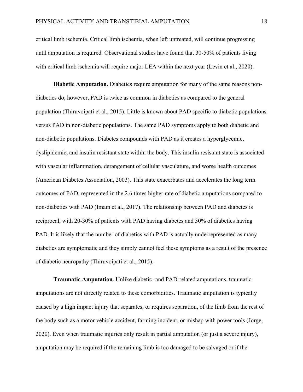critical limb ischemia. Critical limb ischemia, when left untreated, will continue progressing until amputation is required. Observational studies have found that 30-50% of patients living with critical limb ischemia will require major LEA within the next year (Levin et al., 2020).

**Diabetic Amputation.** Diabetics require amputation for many of the same reasons nondiabetics do, however, PAD is twice as common in diabetics as compared to the general population (Thiruvoipati et al., 2015). Little is known about PAD specific to diabetic populations versus PAD in non-diabetic populations. The same PAD symptoms apply to both diabetic and non-diabetic populations. Diabetes compounds with PAD as it creates a hyperglycemic, dyslipidemic, and insulin resistant state within the body. This insulin resistant state is associated with vascular inflammation, derangement of cellular vasculature, and worse health outcomes (American Diabetes Association, 2003). This state exacerbates and accelerates the long term outcomes of PAD, represented in the 2.6 times higher rate of diabetic amputations compared to non-diabetics with PAD (Imam et al., 2017). The relationship between PAD and diabetes is reciprocal, with 20-30% of patients with PAD having diabetes and 30% of diabetics having PAD. It is likely that the number of diabetics with PAD is actually underrepresented as many diabetics are symptomatic and they simply cannot feel these symptoms as a result of the presence of diabetic neuropathy (Thiruvoipati et al., 2015).

**Traumatic Amputation***.* Unlike diabetic- and PAD-related amputations, traumatic amputations are not directly related to these comorbidities. Traumatic amputation is typically caused by a high impact injury that separates, or requires separation, of the limb from the rest of the body such as a motor vehicle accident, farming incident, or mishap with power tools (Jorge, 2020). Even when traumatic injuries only result in partial amputation (or just a severe injury), amputation may be required if the remaining limb is too damaged to be salvaged or if the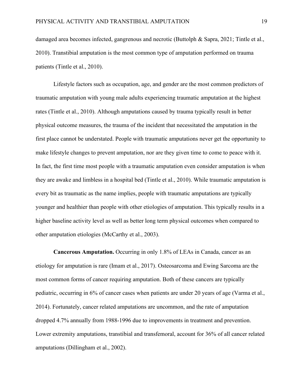damaged area becomes infected, gangrenous and necrotic (Buttolph & Sapra, 2021; Tintle et al., 2010). Transtibial amputation is the most common type of amputation performed on trauma patients (Tintle et al., 2010).

Lifestyle factors such as occupation, age, and gender are the most common predictors of traumatic amputation with young male adults experiencing traumatic amputation at the highest rates (Tintle et al., 2010). Although amputations caused by trauma typically result in better physical outcome measures, the trauma of the incident that necessitated the amputation in the first place cannot be understated. People with traumatic amputations never get the opportunity to make lifestyle changes to prevent amputation, nor are they given time to come to peace with it. In fact, the first time most people with a traumatic amputation even consider amputation is when they are awake and limbless in a hospital bed (Tintle et al., 2010). While traumatic amputation is every bit as traumatic as the name implies, people with traumatic amputations are typically younger and healthier than people with other etiologies of amputation. This typically results in a higher baseline activity level as well as better long term physical outcomes when compared to other amputation etiologies (McCarthy et al., 2003).

**Cancerous Amputation.** Occurring in only 1.8% of LEAs in Canada, cancer as an etiology for amputation is rare (Imam et al., 2017). Osteosarcoma and Ewing Sarcoma are the most common forms of cancer requiring amputation. Both of these cancers are typically pediatric, occurring in 6% of cancer cases when patients are under 20 years of age (Varma et al., 2014). Fortunately, cancer related amputations are uncommon, and the rate of amputation dropped 4.7% annually from 1988-1996 due to improvements in treatment and prevention. Lower extremity amputations, transtibial and transfemoral, account for 36% of all cancer related amputations (Dillingham et al., 2002).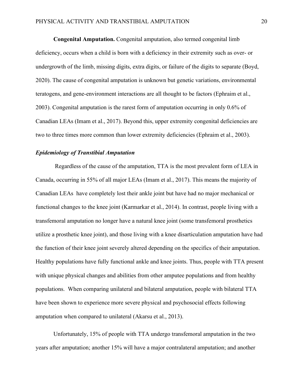**Congenital Amputation.** Congenital amputation, also termed congenital limb deficiency, occurs when a child is born with a deficiency in their extremity such as over- or undergrowth of the limb, missing digits, extra digits, or failure of the digits to separate (Boyd, 2020). The cause of congenital amputation is unknown but genetic variations, environmental teratogens, and gene-environment interactions are all thought to be factors (Ephraim et al., 2003). Congenital amputation is the rarest form of amputation occurring in only 0.6% of Canadian LEAs (Imam et al., 2017). Beyond this, upper extremity congenital deficiencies are two to three times more common than lower extremity deficiencies (Ephraim et al., 2003).

#### *Epidemiology of Transtibial Amputation*

Regardless of the cause of the amputation, TTA is the most prevalent form of LEA in Canada, occurring in 55% of all major LEAs (Imam et al., 2017). This means the majority of Canadian LEAs have completely lost their ankle joint but have had no major mechanical or functional changes to the knee joint (Karmarkar et al., 2014). In contrast, people living with a transfemoral amputation no longer have a natural knee joint (some transfemoral prosthetics utilize a prosthetic knee joint), and those living with a knee disarticulation amputation have had the function of their knee joint severely altered depending on the specifics of their amputation. Healthy populations have fully functional ankle and knee joints. Thus, people with TTA present with unique physical changes and abilities from other amputee populations and from healthy populations. When comparing unilateral and bilateral amputation, people with bilateral TTA have been shown to experience more severe physical and psychosocial effects following amputation when compared to unilateral (Akarsu et al., 2013).

Unfortunately, 15% of people with TTA undergo transfemoral amputation in the two years after amputation; another 15% will have a major contralateral amputation; and another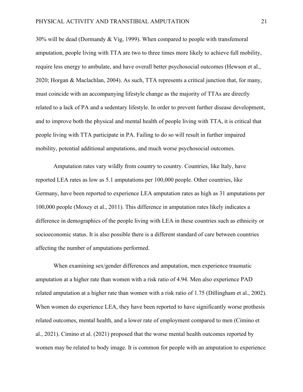30% will be dead (Dormandy & Vig, 1999). When compared to people with transfemoral amputation, people living with TTA are two to three times more likely to achieve full mobility, require less energy to ambulate, and have overall better psychosocial outcomes (Hewson et al., 2020; Horgan & Maclachlan, 2004). As such, TTA represents a critical junction that, for many, must coincide with an accompanying lifestyle change as the majority of TTAs are directly related to a lack of PA and a sedentary lifestyle. In order to prevent further disease development, and to improve both the physical and mental health of people living with TTA, it is critical that people living with TTA participate in PA. Failing to do so will result in further impaired mobility, potential additional amputations, and much worse psychosocial outcomes.

Amputation rates vary wildly from country to country. Countries, like Italy, have reported LEA rates as low as 5.1 amputations per 100,000 people. Other countries, like Germany, have been reported to experience LEA amputation rates as high as 31 amputations per 100,000 people (Moxey et al., 2011). This difference in amputation rates likely indicates a difference in demographics of the people living with LEA in these countries such as ethnicity or socioeconomic status. It is also possible there is a different standard of care between countries affecting the number of amputations performed.

When examining sex/gender differences and amputation, men experience traumatic amputation at a higher rate than women with a risk ratio of 4.94. Men also experience PAD related amputation at a higher rate than women with a risk ratio of 1.75 (Dillingham et al., 2002). When women do experience LEA, they have been reported to have significantly worse prothesis related outcomes, mental health, and a lower rate of employment compared to men (Cimino et al., 2021). Cimino et al. (2021) proposed that the worse mental health outcomes reported by women may be related to body image. It is common for people with an amputation to experience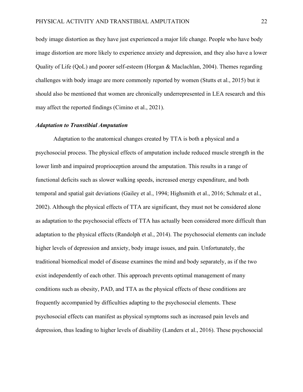body image distortion as they have just experienced a major life change. People who have body image distortion are more likely to experience anxiety and depression, and they also have a lower Quality of Life (QoL) and poorer self-esteem (Horgan & Maclachlan, 2004). Themes regarding challenges with body image are more commonly reported by women (Stutts et al., 2015) but it should also be mentioned that women are chronically underrepresented in LEA research and this may affect the reported findings (Cimino et al., 2021).

#### *Adaptation to Transtibial Amputation*

Adaptation to the anatomical changes created by TTA is both a physical and a psychosocial process. The physical effects of amputation include reduced muscle strength in the lower limb and impaired proprioception around the amputation. This results in a range of functional deficits such as slower walking speeds, increased energy expenditure, and both temporal and spatial gait deviations (Gailey et al., 1994; Highsmith et al., 2016; Schmalz et al., 2002). Although the physical effects of TTA are significant, they must not be considered alone as adaptation to the psychosocial effects of TTA has actually been considered more difficult than adaptation to the physical effects (Randolph et al., 2014). The psychosocial elements can include higher levels of depression and anxiety, body image issues, and pain. Unfortunately, the traditional biomedical model of disease examines the mind and body separately, as if the two exist independently of each other. This approach prevents optimal management of many conditions such as obesity, PAD, and TTA as the physical effects of these conditions are frequently accompanied by difficulties adapting to the psychosocial elements. These psychosocial effects can manifest as physical symptoms such as increased pain levels and depression, thus leading to higher levels of disability (Landers et al., 2016). These psychosocial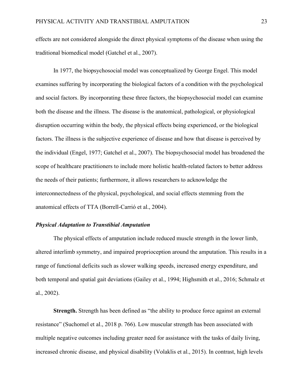effects are not considered alongside the direct physical symptoms of the disease when using the traditional biomedical model (Gatchel et al., 2007).

In 1977, the biopsychosocial model was conceptualized by George Engel. This model examines suffering by incorporating the biological factors of a condition with the psychological and social factors. By incorporating these three factors, the biopsychosocial model can examine both the disease and the illness. The disease is the anatomical, pathological, or physiological disruption occurring within the body, the physical effects being experienced, or the biological factors. The illness is the subjective experience of disease and how that disease is perceived by the individual (Engel, 1977; Gatchel et al., 2007). The biopsychosocial model has broadened the scope of healthcare practitioners to include more holistic health-related factors to better address the needs of their patients; furthermore, it allows researchers to acknowledge the interconnectedness of the physical, psychological, and social effects stemming from the anatomical effects of TTA (Borrell-Carrió et al., 2004).

#### *Physical Adaptation to Transtibial Amputation*

The physical effects of amputation include reduced muscle strength in the lower limb, altered interlimb symmetry, and impaired proprioception around the amputation. This results in a range of functional deficits such as slower walking speeds, increased energy expenditure, and both temporal and spatial gait deviations (Gailey et al., 1994; Highsmith et al., 2016; Schmalz et al., 2002).

**Strength.** Strength has been defined as "the ability to produce force against an external resistance" (Suchomel et al., 2018 p. 766). Low muscular strength has been associated with multiple negative outcomes including greater need for assistance with the tasks of daily living, increased chronic disease, and physical disability (Volaklis et al., 2015). In contrast, high levels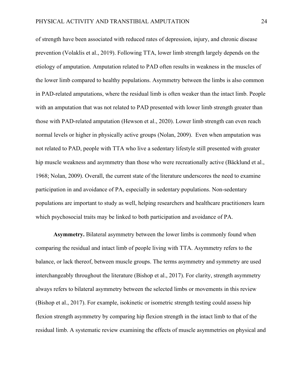of strength have been associated with reduced rates of depression, injury, and chronic disease prevention (Volaklis et al., 2019). Following TTA, lower limb strength largely depends on the etiology of amputation. Amputation related to PAD often results in weakness in the muscles of the lower limb compared to healthy populations. Asymmetry between the limbs is also common in PAD-related amputations, where the residual limb is often weaker than the intact limb. People with an amputation that was not related to PAD presented with lower limb strength greater than those with PAD-related amputation (Hewson et al., 2020). Lower limb strength can even reach normal levels or higher in physically active groups (Nolan, 2009). Even when amputation was not related to PAD, people with TTA who live a sedentary lifestyle still presented with greater hip muscle weakness and asymmetry than those who were recreationally active (Bäcklund et al., 1968; Nolan, 2009). Overall, the current state of the literature underscores the need to examine participation in and avoidance of PA, especially in sedentary populations. Non-sedentary populations are important to study as well, helping researchers and healthcare practitioners learn which psychosocial traits may be linked to both participation and avoidance of PA.

**Asymmetry.** Bilateral asymmetry between the lower limbs is commonly found when comparing the residual and intact limb of people living with TTA. Asymmetry refers to the balance, or lack thereof, between muscle groups. The terms asymmetry and symmetry are used interchangeably throughout the literature (Bishop et al., 2017). For clarity, strength asymmetry always refers to bilateral asymmetry between the selected limbs or movements in this review (Bishop et al., 2017). For example, isokinetic or isometric strength testing could assess hip flexion strength asymmetry by comparing hip flexion strength in the intact limb to that of the residual limb. A systematic review examining the effects of muscle asymmetries on physical and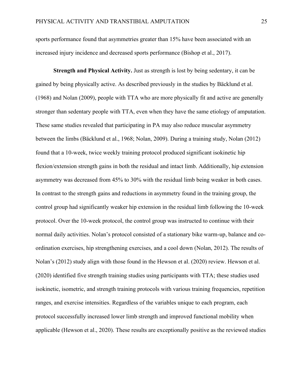sports performance found that asymmetries greater than 15% have been associated with an increased injury incidence and decreased sports performance (Bishop et al., 2017).

**Strength and Physical Activity.** Just as strength is lost by being sedentary, it can be gained by being physically active. As described previously in the studies by Bäcklund et al. (1968) and Nolan (2009), people with TTA who are more physically fit and active are generally stronger than sedentary people with TTA, even when they have the same etiology of amputation. These same studies revealed that participating in PA may also reduce muscular asymmetry between the limbs (Bäcklund et al., 1968; Nolan, 2009). During a training study, Nolan (2012) found that a 10-week, twice weekly training protocol produced significant isokinetic hip flexion/extension strength gains in both the residual and intact limb. Additionally, hip extension asymmetry was decreased from 45% to 30% with the residual limb being weaker in both cases. In contrast to the strength gains and reductions in asymmetry found in the training group, the control group had significantly weaker hip extension in the residual limb following the 10-week protocol. Over the 10-week protocol, the control group was instructed to continue with their normal daily activities. Nolan's protocol consisted of a stationary bike warm-up, balance and coordination exercises, hip strengthening exercises, and a cool down (Nolan, 2012). The results of Nolan's (2012) study align with those found in the Hewson et al. (2020) review. Hewson et al. (2020) identified five strength training studies using participants with TTA; these studies used isokinetic, isometric, and strength training protocols with various training frequencies, repetition ranges, and exercise intensities. Regardless of the variables unique to each program, each protocol successfully increased lower limb strength and improved functional mobility when applicable (Hewson et al., 2020). These results are exceptionally positive as the reviewed studies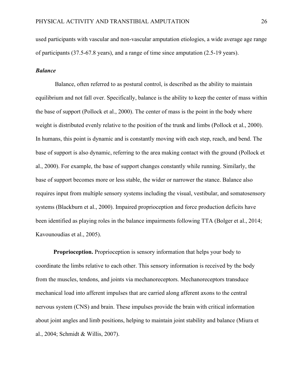used participants with vascular and non-vascular amputation etiologies, a wide average age range of participants (37.5-67.8 years), and a range of time since amputation (2.5-19 years).

#### *Balance*

Balance, often referred to as postural control, is described as the ability to maintain equilibrium and not fall over. Specifically, balance is the ability to keep the center of mass within the base of support (Pollock et al., 2000). The center of mass is the point in the body where weight is distributed evenly relative to the position of the trunk and limbs (Pollock et al., 2000). In humans, this point is dynamic and is constantly moving with each step, reach, and bend. The base of support is also dynamic, referring to the area making contact with the ground (Pollock et al., 2000). For example, the base of support changes constantly while running. Similarly, the base of support becomes more or less stable, the wider or narrower the stance. Balance also requires input from multiple sensory systems including the visual, vestibular, and somatosensory systems (Blackburn et al., 2000). Impaired proprioception and force production deficits have been identified as playing roles in the balance impairments following TTA (Bolger et al., 2014; Kavounoudias et al., 2005).

**Proprioception.** Proprioception is sensory information that helps your body to coordinate the limbs relative to each other. This sensory information is received by the body from the muscles, tendons, and joints via mechanoreceptors. Mechanoreceptors transduce mechanical load into afferent impulses that are carried along afferent axons to the central nervous system (CNS) and brain. These impulses provide the brain with critical information about joint angles and limb positions, helping to maintain joint stability and balance (Miura et al., 2004; Schmidt & Willis, 2007).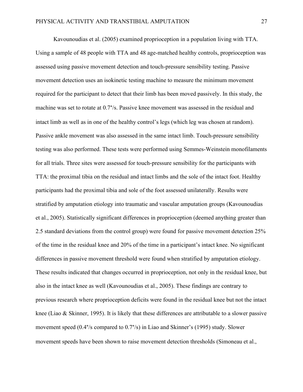Kavounoudias et al. (2005) examined proprioception in a population living with TTA. Using a sample of 48 people with TTA and 48 age-matched healthy controls, proprioception was assessed using passive movement detection and touch-pressure sensibility testing. Passive movement detection uses an isokinetic testing machine to measure the minimum movement required for the participant to detect that their limb has been moved passively. In this study, the machine was set to rotate at 0.7°/s. Passive knee movement was assessed in the residual and intact limb as well as in one of the healthy control's legs (which leg was chosen at random). Passive ankle movement was also assessed in the same intact limb. Touch-pressure sensibility testing was also performed. These tests were performed using Semmes-Weinstein monofilaments for all trials. Three sites were assessed for touch-pressure sensibility for the participants with TTA: the proximal tibia on the residual and intact limbs and the sole of the intact foot. Healthy participants had the proximal tibia and sole of the foot assessed unilaterally. Results were stratified by amputation etiology into traumatic and vascular amputation groups (Kavounoudias et al., 2005). Statistically significant differences in proprioception (deemed anything greater than 2.5 standard deviations from the control group) were found for passive movement detection 25% of the time in the residual knee and 20% of the time in a participant's intact knee. No significant differences in passive movement threshold were found when stratified by amputation etiology. These results indicated that changes occurred in proprioception, not only in the residual knee, but also in the intact knee as well (Kavounoudias et al., 2005). These findings are contrary to previous research where proprioception deficits were found in the residual knee but not the intact knee (Liao & Skinner, 1995). It is likely that these differences are attributable to a slower passive movement speed (0.4°/s compared to 0.7°/s) in Liao and Skinner's (1995) study. Slower movement speeds have been shown to raise movement detection thresholds (Simoneau et al.,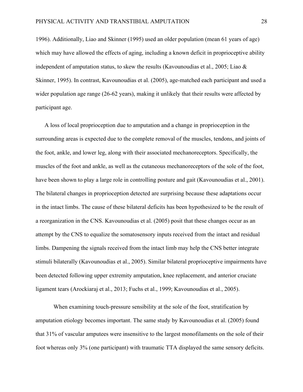1996). Additionally, Liao and Skinner (1995) used an older population (mean 61 years of age) which may have allowed the effects of aging, including a known deficit in proprioceptive ability independent of amputation status, to skew the results (Kavounoudias et al., 2005; Liao  $\&$ Skinner, 1995). In contrast, Kavounoudias et al. (2005), age-matched each participant and used a wider population age range (26-62 years), making it unlikely that their results were affected by participant age.

A loss of local proprioception due to amputation and a change in proprioception in the surrounding areas is expected due to the complete removal of the muscles, tendons, and joints of the foot, ankle, and lower leg, along with their associated mechanoreceptors. Specifically, the muscles of the foot and ankle, as well as the cutaneous mechanoreceptors of the sole of the foot, have been shown to play a large role in controlling posture and gait (Kavounoudias et al., 2001). The bilateral changes in proprioception detected are surprising because these adaptations occur in the intact limbs. The cause of these bilateral deficits has been hypothesized to be the result of a reorganization in the CNS. Kavounoudias et al. (2005) posit that these changes occur as an attempt by the CNS to equalize the somatosensory inputs received from the intact and residual limbs. Dampening the signals received from the intact limb may help the CNS better integrate stimuli bilaterally (Kavounoudias et al., 2005). Similar bilateral proprioceptive impairments have been detected following upper extremity amputation, knee replacement, and anterior cruciate ligament tears (Arockiaraj et al., 2013; Fuchs et al., 1999; Kavounoudias et al., 2005).

When examining touch-pressure sensibility at the sole of the foot, stratification by amputation etiology becomes important. The same study by Kavounoudias et al. (2005) found that 31% of vascular amputees were insensitive to the largest monofilaments on the sole of their foot whereas only 3% (one participant) with traumatic TTA displayed the same sensory deficits.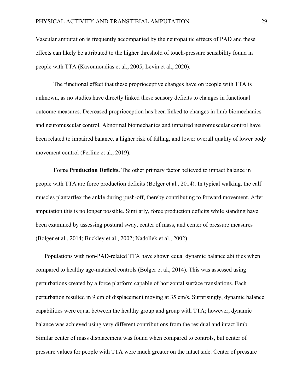Vascular amputation is frequently accompanied by the neuropathic effects of PAD and these effects can likely be attributed to the higher threshold of touch-pressure sensibility found in people with TTA (Kavounoudias et al., 2005; Levin et al., 2020).

The functional effect that these proprioceptive changes have on people with TTA is unknown, as no studies have directly linked these sensory deficits to changes in functional outcome measures. Decreased proprioception has been linked to changes in limb biomechanics and neuromuscular control. Abnormal biomechanics and impaired neuromuscular control have been related to impaired balance, a higher risk of falling, and lower overall quality of lower body movement control (Ferlinc et al., 2019).

**Force Production Deficits.** The other primary factor believed to impact balance in people with TTA are force production deficits (Bolger et al., 2014). In typical walking, the calf muscles plantarflex the ankle during push-off, thereby contributing to forward movement. After amputation this is no longer possible. Similarly, force production deficits while standing have been examined by assessing postural sway, center of mass, and center of pressure measures (Bolger et al., 2014; Buckley et al., 2002; Nadollek et al., 2002).

Populations with non-PAD-related TTA have shown equal dynamic balance abilities when compared to healthy age-matched controls (Bolger et al., 2014). This was assessed using perturbations created by a force platform capable of horizontal surface translations. Each perturbation resulted in 9 cm of displacement moving at 35 cm/s. Surprisingly, dynamic balance capabilities were equal between the healthy group and group with TTA; however, dynamic balance was achieved using very different contributions from the residual and intact limb. Similar center of mass displacement was found when compared to controls, but center of pressure values for people with TTA were much greater on the intact side. Center of pressure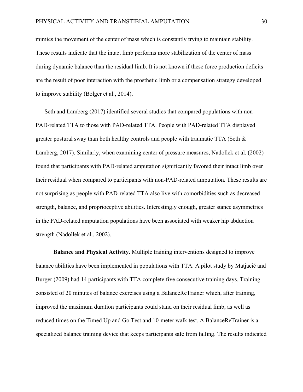mimics the movement of the center of mass which is constantly trying to maintain stability. These results indicate that the intact limb performs more stabilization of the center of mass during dynamic balance than the residual limb. It is not known if these force production deficits are the result of poor interaction with the prosthetic limb or a compensation strategy developed to improve stability (Bolger et al., 2014).

Seth and Lamberg (2017) identified several studies that compared populations with non-PAD-related TTA to those with PAD-related TTA. People with PAD-related TTA displayed greater postural sway than both healthy controls and people with traumatic TTA (Seth & Lamberg, 2017). Similarly, when examining center of pressure measures, Nadollek et al. (2002) found that participants with PAD-related amputation significantly favored their intact limb over their residual when compared to participants with non-PAD-related amputation. These results are not surprising as people with PAD-related TTA also live with comorbidities such as decreased strength, balance, and proprioceptive abilities. Interestingly enough, greater stance asymmetries in the PAD-related amputation populations have been associated with weaker hip abduction strength (Nadollek et al., 2002).

**Balance and Physical Activity.** Multiple training interventions designed to improve balance abilities have been implemented in populations with TTA. A pilot study by Matjacić and Burger (2009) had 14 participants with TTA complete five consecutive training days. Training consisted of 20 minutes of balance exercises using a BalanceReTrainer which, after training, improved the maximum duration participants could stand on their residual limb, as well as reduced times on the Timed Up and Go Test and 10-meter walk test. A BalanceReTrainer is a specialized balance training device that keeps participants safe from falling. The results indicated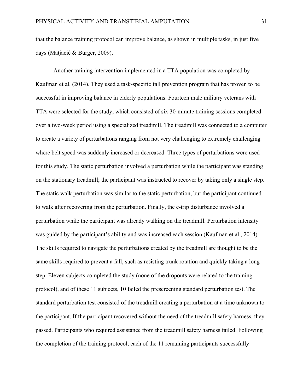that the balance training protocol can improve balance, as shown in multiple tasks, in just five days (Matjacić & Burger, 2009).

Another training intervention implemented in a TTA population was completed by Kaufman et al. (2014). They used a task-specific fall prevention program that has proven to be successful in improving balance in elderly populations. Fourteen male military veterans with TTA were selected for the study, which consisted of six 30-minute training sessions completed over a two-week period using a specialized treadmill. The treadmill was connected to a computer to create a variety of perturbations ranging from not very challenging to extremely challenging where belt speed was suddenly increased or decreased. Three types of perturbations were used for this study. The static perturbation involved a perturbation while the participant was standing on the stationary treadmill; the participant was instructed to recover by taking only a single step. The static walk perturbation was similar to the static perturbation, but the participant continued to walk after recovering from the perturbation. Finally, the e-trip disturbance involved a perturbation while the participant was already walking on the treadmill. Perturbation intensity was guided by the participant's ability and was increased each session (Kaufman et al., 2014). The skills required to navigate the perturbations created by the treadmill are thought to be the same skills required to prevent a fall, such as resisting trunk rotation and quickly taking a long step. Eleven subjects completed the study (none of the dropouts were related to the training protocol), and of these 11 subjects, 10 failed the prescreening standard perturbation test. The standard perturbation test consisted of the treadmill creating a perturbation at a time unknown to the participant. If the participant recovered without the need of the treadmill safety harness, they passed. Participants who required assistance from the treadmill safety harness failed. Following the completion of the training protocol, each of the 11 remaining participants successfully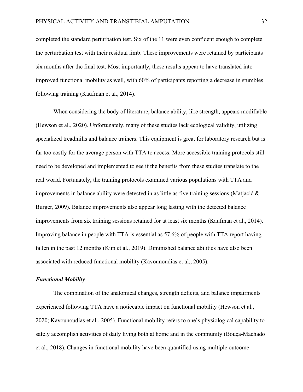completed the standard perturbation test. Six of the 11 were even confident enough to complete the perturbation test with their residual limb. These improvements were retained by participants six months after the final test. Most importantly, these results appear to have translated into improved functional mobility as well, with 60% of participants reporting a decrease in stumbles following training (Kaufman et al., 2014).

When considering the body of literature, balance ability, like strength, appears modifiable (Hewson et al., 2020). Unfortunately, many of these studies lack ecological validity, utilizing specialized treadmills and balance trainers. This equipment is great for laboratory research but is far too costly for the average person with TTA to access. More accessible training protocols still need to be developed and implemented to see if the benefits from these studies translate to the real world. Fortunately, the training protocols examined various populations with TTA and improvements in balance ability were detected in as little as five training sessions (Matjacić  $\&$ Burger, 2009). Balance improvements also appear long lasting with the detected balance improvements from six training sessions retained for at least six months (Kaufman et al., 2014). Improving balance in people with TTA is essential as 57.6% of people with TTA report having fallen in the past 12 months (Kim et al., 2019). Diminished balance abilities have also been associated with reduced functional mobility (Kavounoudias et al., 2005).

#### *Functional Mobility*

The combination of the anatomical changes, strength deficits, and balance impairments experienced following TTA have a noticeable impact on functional mobility (Hewson et al., 2020; Kavounoudias et al., 2005). Functional mobility refers to one's physiological capability to safely accomplish activities of daily living both at home and in the community (Bouça-Machado et al., 2018). Changes in functional mobility have been quantified using multiple outcome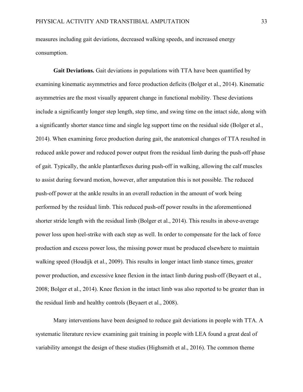measures including gait deviations, decreased walking speeds, and increased energy consumption.

**Gait Deviations.** Gait deviations in populations with TTA have been quantified by examining kinematic asymmetries and force production deficits (Bolger et al., 2014). Kinematic asymmetries are the most visually apparent change in functional mobility. These deviations include a significantly longer step length, step time, and swing time on the intact side, along with a significantly shorter stance time and single leg support time on the residual side (Bolger et al., 2014). When examining force production during gait, the anatomical changes of TTA resulted in reduced ankle power and reduced power output from the residual limb during the push-off phase of gait. Typically, the ankle plantarflexes during push-off in walking, allowing the calf muscles to assist during forward motion, however, after amputation this is not possible. The reduced push-off power at the ankle results in an overall reduction in the amount of work being performed by the residual limb. This reduced push-off power results in the aforementioned shorter stride length with the residual limb (Bolger et al., 2014). This results in above-average power loss upon heel-strike with each step as well. In order to compensate for the lack of force production and excess power loss, the missing power must be produced elsewhere to maintain walking speed (Houdijk et al., 2009). This results in longer intact limb stance times, greater power production, and excessive knee flexion in the intact limb during push-off (Beyaert et al., 2008; Bolger et al., 2014). Knee flexion in the intact limb was also reported to be greater than in the residual limb and healthy controls (Beyaert et al., 2008).

Many interventions have been designed to reduce gait deviations in people with TTA. A systematic literature review examining gait training in people with LEA found a great deal of variability amongst the design of these studies (Highsmith et al., 2016). The common theme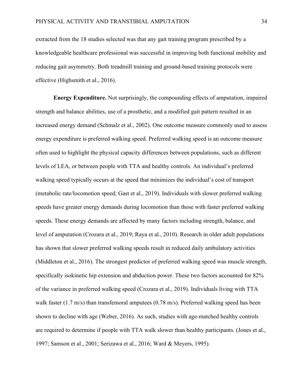extracted from the 18 studies selected was that any gait training program prescribed by a knowledgeable healthcare professional was successful in improving both functional mobility and reducing gait asymmetry. Both treadmill training and ground-based training protocols were effective (Highsmith et al., 2016).

**Energy Expenditure.** Not surprisingly, the compounding effects of amputation, impaired strength and balance abilities, use of a prosthetic, and a modified gait pattern resulted in an increased energy demand (Schmalz et al., 2002). One outcome measure commonly used to assess energy expenditure is preferred walking speed. Preferred walking speed is an outcome measure often used to highlight the physical capacity differences between populations, such as different levels of LEA, or between people with TTA and healthy controls. An individual's preferred walking speed typically occurs at the speed that minimizes the individual's cost of transport (metabolic rate/locomotion speed; Gast et al., 2019). Individuals with slower preferred walking speeds have greater energy demands during locomotion than those with faster preferred walking speeds. These energy demands are affected by many factors including strength, balance, and level of amputation (Crozara et al., 2019; Raya et al., 2010). Research in older adult populations has shown that slower preferred walking speeds result in reduced daily ambulatory activities (Middleton et al., 2016). The strongest predictor of preferred walking speed was muscle strength, specifically isokinetic hip extension and abduction power. These two factors accounted for 82% of the variance in preferred walking speed (Crozara et al., 2019). Individuals living with TTA walk faster (1.7 m/s) than transfemoral amputees (0.78 m/s). Preferred walking speed has been shown to decline with age (Weber, 2016). As such, studies with age-matched healthy controls are required to determine if people with TTA walk slower than healthy participants. (Jones et al., 1997; Samson et al., 2001; Serizawa et al., 2016; Ward & Meyers, 1995).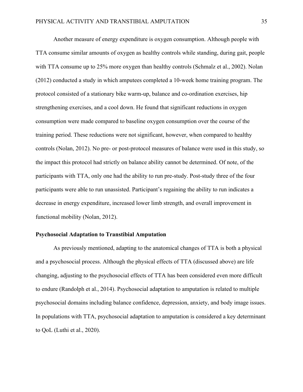Another measure of energy expenditure is oxygen consumption. Although people with TTA consume similar amounts of oxygen as healthy controls while standing, during gait, people with TTA consume up to 25% more oxygen than healthy controls (Schmalz et al., 2002). Nolan (2012) conducted a study in which amputees completed a 10-week home training program. The protocol consisted of a stationary bike warm-up, balance and co-ordination exercises, hip strengthening exercises, and a cool down. He found that significant reductions in oxygen consumption were made compared to baseline oxygen consumption over the course of the training period. These reductions were not significant, however, when compared to healthy controls (Nolan, 2012). No pre- or post-protocol measures of balance were used in this study, so the impact this protocol had strictly on balance ability cannot be determined. Of note, of the participants with TTA, only one had the ability to run pre-study. Post-study three of the four participants were able to run unassisted. Participant's regaining the ability to run indicates a decrease in energy expenditure, increased lower limb strength, and overall improvement in functional mobility (Nolan, 2012).

#### **Psychosocial Adaptation to Transtibial Amputation**

As previously mentioned, adapting to the anatomical changes of TTA is both a physical and a psychosocial process. Although the physical effects of TTA (discussed above) are life changing, adjusting to the psychosocial effects of TTA has been considered even more difficult to endure (Randolph et al., 2014). Psychosocial adaptation to amputation is related to multiple psychosocial domains including balance confidence, depression, anxiety, and body image issues. In populations with TTA, psychosocial adaptation to amputation is considered a key determinant to QoL (Luthi et al., 2020).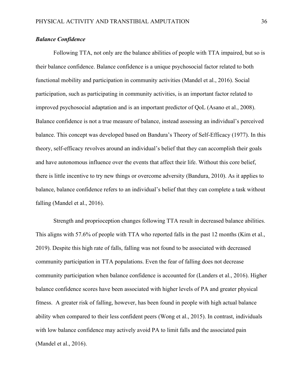# *Balance Confidence*

Following TTA, not only are the balance abilities of people with TTA impaired, but so is their balance confidence. Balance confidence is a unique psychosocial factor related to both functional mobility and participation in community activities (Mandel et al., 2016). Social participation, such as participating in community activities, is an important factor related to improved psychosocial adaptation and is an important predictor of QoL (Asano et al., 2008). Balance confidence is not a true measure of balance, instead assessing an individual's perceived balance. This concept was developed based on Bandura's Theory of Self-Efficacy (1977). In this theory, self-efficacy revolves around an individual's belief that they can accomplish their goals and have autonomous influence over the events that affect their life. Without this core belief, there is little incentive to try new things or overcome adversity (Bandura, 2010). As it applies to balance, balance confidence refers to an individual's belief that they can complete a task without falling (Mandel et al., 2016).

Strength and proprioception changes following TTA result in decreased balance abilities. This aligns with 57.6% of people with TTA who reported falls in the past 12 months (Kim et al., 2019). Despite this high rate of falls, falling was not found to be associated with decreased community participation in TTA populations. Even the fear of falling does not decrease community participation when balance confidence is accounted for (Landers et al., 2016). Higher balance confidence scores have been associated with higher levels of PA and greater physical fitness. A greater risk of falling, however, has been found in people with high actual balance ability when compared to their less confident peers (Wong et al., 2015). In contrast, individuals with low balance confidence may actively avoid PA to limit falls and the associated pain (Mandel et al., 2016).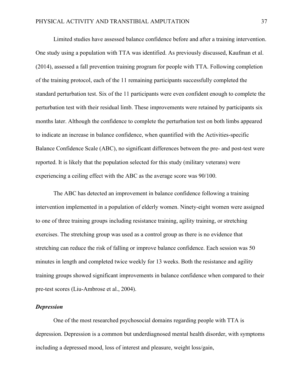Limited studies have assessed balance confidence before and after a training intervention. One study using a population with TTA was identified. As previously discussed, Kaufman et al. (2014), assessed a fall prevention training program for people with TTA. Following completion of the training protocol, each of the 11 remaining participants successfully completed the standard perturbation test. Six of the 11 participants were even confident enough to complete the perturbation test with their residual limb. These improvements were retained by participants six months later. Although the confidence to complete the perturbation test on both limbs appeared to indicate an increase in balance confidence, when quantified with the Activities-specific Balance Confidence Scale (ABC), no significant differences between the pre- and post-test were reported. It is likely that the population selected for this study (military veterans) were experiencing a ceiling effect with the ABC as the average score was 90/100.

The ABC has detected an improvement in balance confidence following a training intervention implemented in a population of elderly women. Ninety-eight women were assigned to one of three training groups including resistance training, agility training, or stretching exercises. The stretching group was used as a control group as there is no evidence that stretching can reduce the risk of falling or improve balance confidence. Each session was 50 minutes in length and completed twice weekly for 13 weeks. Both the resistance and agility training groups showed significant improvements in balance confidence when compared to their pre-test scores (Liu-Ambrose et al., 2004).

#### *Depression*

One of the most researched psychosocial domains regarding people with TTA is depression. Depression is a common but underdiagnosed mental health disorder, with symptoms including a depressed mood, loss of interest and pleasure, weight loss/gain,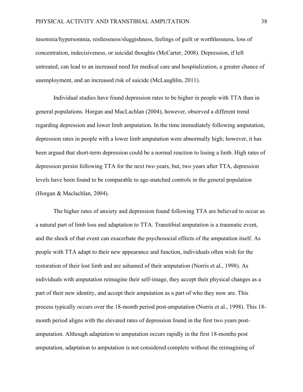insomnia/hypersomnia, restlessness/sluggishness, feelings of guilt or worthlessness, loss of concentration, indecisiveness, or suicidal thoughts (McCarter, 2008). Depression, if left untreated, can lead to an increased need for medical care and hospitalization, a greater chance of unemployment, and an increased risk of suicide (McLaughlin, 2011).

Individual studies have found depression rates to be higher in people with TTA than in general populations. Horgan and MacLachlan (2004), however, observed a different trend regarding depression and lower limb amputation. In the time immediately following amputation, depression rates in people with a lower limb amputation were abnormally high; however, it has been argued that short-term depression could be a normal reaction to losing a limb. High rates of depression persist following TTA for the next two years, but, two years after TTA, depression levels have been found to be comparable to age-matched controls in the general population (Horgan & Maclachlan, 2004).

The higher rates of anxiety and depression found following TTA are believed to occur as a natural part of limb loss and adaptation to TTA. Transtibial amputation is a traumatic event, and the shock of that event can exacerbate the psychosocial effects of the amputation itself. As people with TTA adapt to their new appearance and function, individuals often wish for the restoration of their lost limb and are ashamed of their amputation (Norris et al., 1998). As individuals with amputation reimagine their self-image, they accept their physical changes as a part of their new identity, and accept their amputation as a part of who they now are. This process typically occurs over the 18-month period post-amputation (Norris et al., 1998). This 18 month period aligns with the elevated rates of depression found in the first two years postamputation. Although adaptation to amputation occurs rapidly in the first 18-months post amputation, adaptation to amputation is not considered complete without the reimagining of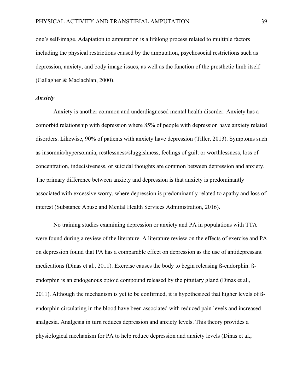one's self-image. Adaptation to amputation is a lifelong process related to multiple factors including the physical restrictions caused by the amputation, psychosocial restrictions such as depression, anxiety, and body image issues, as well as the function of the prosthetic limb itself (Gallagher & Maclachlan, 2000).

# *Anxiety*

Anxiety is another common and underdiagnosed mental health disorder. Anxiety has a comorbid relationship with depression where 85% of people with depression have anxiety related disorders. Likewise, 90% of patients with anxiety have depression (Tiller, 2013). Symptoms such as insomnia/hypersomnia, restlessness/sluggishness, feelings of guilt or worthlessness, loss of concentration, indecisiveness, or suicidal thoughts are common between depression and anxiety. The primary difference between anxiety and depression is that anxiety is predominantly associated with excessive worry, where depression is predominantly related to apathy and loss of interest (Substance Abuse and Mental Health Services Administration, 2016).

No training studies examining depression or anxiety and PA in populations with TTA were found during a review of the literature. A literature review on the effects of exercise and PA on depression found that PA has a comparable effect on depression as the use of antidepressant medications (Dinas et al., 2011). Exercise causes the body to begin releasing ß-endorphin. ßendorphin is an endogenous opioid compound released by the pituitary gland (Dinas et al., 2011). Although the mechanism is yet to be confirmed, it is hypothesized that higher levels of ßendorphin circulating in the blood have been associated with reduced pain levels and increased analgesia. Analgesia in turn reduces depression and anxiety levels. This theory provides a physiological mechanism for PA to help reduce depression and anxiety levels (Dinas et al.,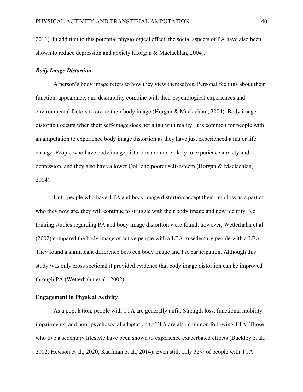2011). In addition to this potential physiological effect, the social aspects of PA have also been shown to reduce depression and anxiety (Horgan & Maclachlan, 2004).

## *Body Image Distortion*

A person's body image refers to how they view themselves. Personal feelings about their function, appearance, and desirability combine with their psychological experiences and environmental factors to create their body image (Horgan & Maclachlan, 2004). Body image distortion occurs when their self-image does not align with reality. It is common for people with an amputation to experience body image distortion as they have just experienced a major life change. People who have body image distortion are more likely to experience anxiety and depression, and they also have a lower QoL and poorer self-esteem (Horgan & Maclachlan, 2004).

Until people who have TTA and body image distortion accept their limb loss as a part of who they now are, they will continue to struggle with their body image and new identity. No training studies regarding PA and body image distortion were found; however, Wetterhahn et al. (2002) compared the body image of active people with a LEA to sedentary people with a LEA. They found a significant difference between body image and PA participation. Although this study was only cross sectional it provided evidence that body image distortion can be improved through PA (Wetterhahn et al., 2002).

# **Engagement in Physical Activity**

As a population, people with TTA are generally unfit. Strength loss, functional mobility impairments, and poor psychosocial adaptation to TTA are also common following TTA. Those who live a sedentary lifestyle have been shown to experience exacerbated effects (Buckley et al., 2002; Hewson et al., 2020; Kaufman et al., 2014). Even still, only 32% of people with TTA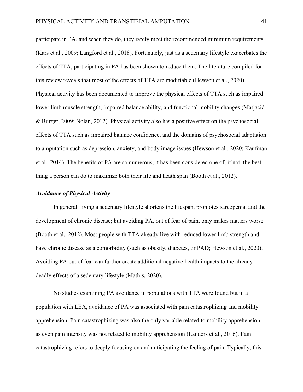participate in PA, and when they do, they rarely meet the recommended minimum requirements (Kars et al., 2009; Langford et al., 2018). Fortunately, just as a sedentary lifestyle exacerbates the effects of TTA, participating in PA has been shown to reduce them. The literature compiled for this review reveals that most of the effects of TTA are modifiable (Hewson et al., 2020). Physical activity has been documented to improve the physical effects of TTA such as impaired lower limb muscle strength, impaired balance ability, and functional mobility changes (Matjacić & Burger, 2009; Nolan, 2012). Physical activity also has a positive effect on the psychosocial effects of TTA such as impaired balance confidence, and the domains of psychosocial adaptation to amputation such as depression, anxiety, and body image issues (Hewson et al., 2020; Kaufman et al., 2014). The benefits of PA are so numerous, it has been considered one of, if not, the best thing a person can do to maximize both their life and heath span (Booth et al., 2012).

#### *Avoidance of Physical Activity*

In general, living a sedentary lifestyle shortens the lifespan, promotes sarcopenia, and the development of chronic disease; but avoiding PA, out of fear of pain, only makes matters worse (Booth et al., 2012). Most people with TTA already live with reduced lower limb strength and have chronic disease as a comorbidity (such as obesity, diabetes, or PAD; Hewson et al., 2020). Avoiding PA out of fear can further create additional negative health impacts to the already deadly effects of a sedentary lifestyle (Mathis, 2020).

No studies examining PA avoidance in populations with TTA were found but in a population with LEA, avoidance of PA was associated with pain catastrophizing and mobility apprehension. Pain catastrophizing was also the only variable related to mobility apprehension, as even pain intensity was not related to mobility apprehension (Landers et al., 2016). Pain catastrophizing refers to deeply focusing on and anticipating the feeling of pain. Typically, this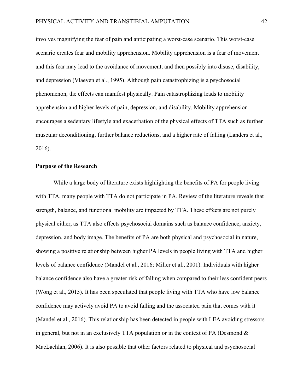involves magnifying the fear of pain and anticipating a worst-case scenario. This worst-case scenario creates fear and mobility apprehension. Mobility apprehension is a fear of movement and this fear may lead to the avoidance of movement, and then possibly into disuse, disability, and depression (Vlaeyen et al., 1995). Although pain catastrophizing is a psychosocial phenomenon, the effects can manifest physically. Pain catastrophizing leads to mobility apprehension and higher levels of pain, depression, and disability. Mobility apprehension encourages a sedentary lifestyle and exacerbation of the physical effects of TTA such as further muscular deconditioning, further balance reductions, and a higher rate of falling (Landers et al., 2016).

# **Purpose of the Research**

While a large body of literature exists highlighting the benefits of PA for people living with TTA, many people with TTA do not participate in PA. Review of the literature reveals that strength, balance, and functional mobility are impacted by TTA. These effects are not purely physical either, as TTA also effects psychosocial domains such as balance confidence, anxiety, depression, and body image. The benefits of PA are both physical and psychosocial in nature, showing a positive relationship between higher PA levels in people living with TTA and higher levels of balance confidence (Mandel et al., 2016; Miller et al., 2001). Individuals with higher balance confidence also have a greater risk of falling when compared to their less confident peers (Wong et al., 2015). It has been speculated that people living with TTA who have low balance confidence may actively avoid PA to avoid falling and the associated pain that comes with it (Mandel et al., 2016). This relationship has been detected in people with LEA avoiding stressors in general, but not in an exclusively TTA population or in the context of PA (Desmond  $\&$ MacLachlan, 2006). It is also possible that other factors related to physical and psychosocial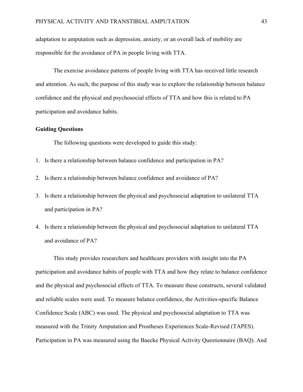adaptation to amputation such as depression, anxiety, or an overall lack of mobility are responsible for the avoidance of PA in people living with TTA.

The exercise avoidance patterns of people living with TTA has received little research and attention. As such, the purpose of this study was to explore the relationship between balance confidence and the physical and psychosocial effects of TTA and how this is related to PA participation and avoidance habits.

# **Guiding Questions**

The following questions were developed to guide this study:

- 1. Is there a relationship between balance confidence and participation in PA?
- 2. Is there a relationship between balance confidence and avoidance of PA?
- 3. Is there a relationship between the physical and psychosocial adaptation to unilateral TTA and participation in PA?
- 4. Is there a relationship between the physical and psychosocial adaptation to unilateral TTA and avoidance of PA?

This study provides researchers and healthcare providers with insight into the PA participation and avoidance habits of people with TTA and how they relate to balance confidence and the physical and psychosocial effects of TTA. To measure these constructs, several validated and reliable scales were used. To measure balance confidence, the Activities-specific Balance Confidence Scale (ABC) was used. The physical and psychosocial adaptation to TTA was measured with the Trinity Amputation and Prostheses Experiences Scale-Revised (TAPES). Participation in PA was measured using the Baecke Physical Activity Questionnaire (BAQ). And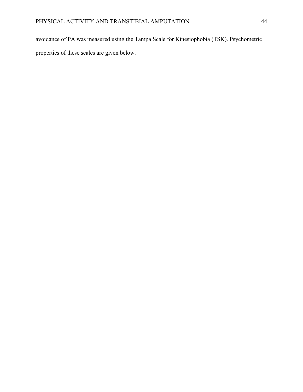avoidance of PA was measured using the Tampa Scale for Kinesiophobia (TSK). Psychometric properties of these scales are given below.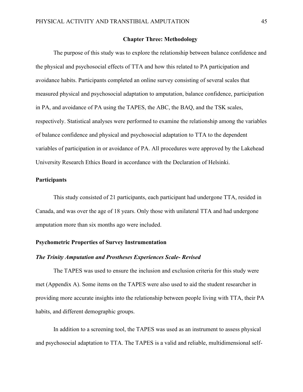# **Chapter Three: Methodology**

The purpose of this study was to explore the relationship between balance confidence and the physical and psychosocial effects of TTA and how this related to PA participation and avoidance habits. Participants completed an online survey consisting of several scales that measured physical and psychosocial adaptation to amputation, balance confidence, participation in PA, and avoidance of PA using the TAPES, the ABC, the BAQ, and the TSK scales, respectively. Statistical analyses were performed to examine the relationship among the variables of balance confidence and physical and psychosocial adaptation to TTA to the dependent variables of participation in or avoidance of PA. All procedures were approved by the Lakehead University Research Ethics Board in accordance with the Declaration of Helsinki.

# **Participants**

This study consisted of 21 participants, each participant had undergone TTA, resided in Canada, and was over the age of 18 years. Only those with unilateral TTA and had undergone amputation more than six months ago were included.

# **Psychometric Properties of Survey Instrumentation**

# *The Trinity Amputation and Prostheses Experiences Scale- Revised*

The TAPES was used to ensure the inclusion and exclusion criteria for this study were met (Appendix A). Some items on the TAPES were also used to aid the student researcher in providing more accurate insights into the relationship between people living with TTA, their PA habits, and different demographic groups.

In addition to a screening tool, the TAPES was used as an instrument to assess physical and psychosocial adaptation to TTA. The TAPES is a valid and reliable, multidimensional self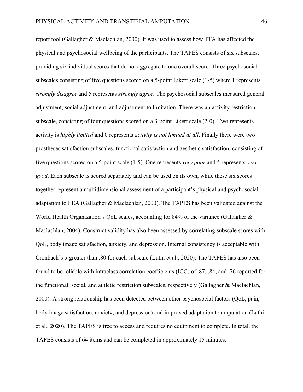report tool (Gallagher & Maclachlan, 2000). It was used to assess how TTA has affected the physical and psychosocial wellbeing of the participants. The TAPES consists of six subscales, providing six individual scores that do not aggregate to one overall score. Three psychosocial subscales consisting of five questions scored on a 5-point Likert scale (1-5) where 1 represents *strongly disagree* and 5 represents *strongly agree*. The psychosocial subscales measured general adjustment, social adjustment, and adjustment to limitation. There was an activity restriction subscale, consisting of four questions scored on a 3-point Likert scale (2-0). Two represents activity is *highly limited* and 0 represents *activity is not limited at all*. Finally there were two prostheses satisfaction subscales, functional satisfaction and aesthetic satisfaction, consisting of five questions scored on a 5-point scale (1-5). One represents *very poor* and 5 represents *very good*. Each subscale is scored separately and can be used on its own, while these six scores together represent a multidimensional assessment of a participant's physical and psychosocial adaptation to LEA (Gallagher & Maclachlan, 2000). The TAPES has been validated against the World Health Organization's QoL scales, accounting for 84% of the variance (Gallagher & Maclachlan, 2004). Construct validity has also been assessed by correlating subscale scores with QoL, body image satisfaction, anxiety, and depression. Internal consistency is acceptable with Cronbach's  $\alpha$  greater than .80 for each subscale (Luthi et al., 2020). The TAPES has also been found to be reliable with intraclass correlation coefficients (ICC) of .87, .84, and .76 reported for the functional, social, and athletic restriction subscales, respectively (Gallagher & Maclachlan, 2000). A strong relationship has been detected between other psychosocial factors (QoL, pain, body image satisfaction, anxiety, and depression) and improved adaptation to amputation (Luthi et al., 2020). The TAPES is free to access and requires no equipment to complete. In total, the TAPES consists of 64 items and can be completed in approximately 15 minutes.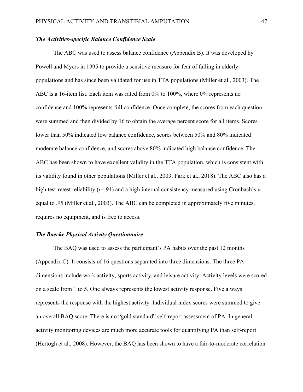# *The Activities-specific Balance Confidence Scale*

The ABC was used to assess balance confidence (Appendix B). It was developed by Powell and Myers in 1995 to provide a sensitive measure for fear of falling in elderly populations and has since been validated for use in TTA populations (Miller et al., 2003). The ABC is a 16-item list. Each item was rated from 0% to 100%, where 0% represents no confidence and 100% represents full confidence. Once complete, the scores from each question were summed and then divided by 16 to obtain the average percent score for all items. Scores lower than 50% indicated low balance confidence, scores between 50% and 80% indicated moderate balance confidence, and scores above 80% indicated high balance confidence. The ABC has been shown to have excellent validity in the TTA population, which is consistent with its validity found in other populations (Miller et al., 2003; Park et al., 2018). The ABC also has a high test-retest reliability ( $r=91$ ) and a high internal consistency measured using Cronbach's  $\alpha$ equal to .95 (Miller et al., 2003). The ABC can be completed in approximately five minutes, requires no equipment, and is free to access.

## *The Baecke Physical Activity Questionnaire*

The BAQ was used to assess the participant's PA habits over the past 12 months (Appendix C). It consists of 16 questions separated into three dimensions. The three PA dimensions include work activity, sports activity, and leisure activity. Activity levels were scored on a scale from 1 to 5. One always represents the lowest activity response. Five always represents the response with the highest activity. Individual index scores were summed to give an overall BAQ score. There is no "gold standard" self-report assessment of PA. In general, activity monitoring devices are much more accurate tools for quantifying PA than self-report (Hertogh et al., 2008). However, the BAQ has been shown to have a fair-to-moderate correlation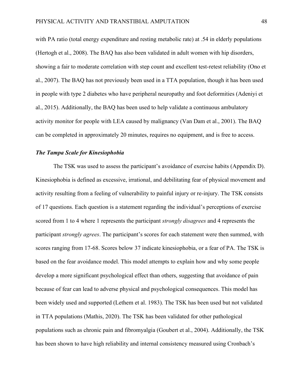with PA ratio (total energy expenditure and resting metabolic rate) at .54 in elderly populations (Hertogh et al., 2008). The BAQ has also been validated in adult women with hip disorders, showing a fair to moderate correlation with step count and excellent test-retest reliability (Ono et al., 2007). The BAQ has not previously been used in a TTA population, though it has been used in people with type 2 diabetes who have peripheral neuropathy and foot deformities (Adeniyi et al., 2015). Additionally, the BAQ has been used to help validate a continuous ambulatory activity monitor for people with LEA caused by malignancy (Van Dam et al., 2001). The BAQ can be completed in approximately 20 minutes, requires no equipment, and is free to access.

# *The Tampa Scale for Kinesiophobia*

The TSK was used to assess the participant's avoidance of exercise habits (Appendix D). Kinesiophobia is defined as excessive, irrational, and debilitating fear of physical movement and activity resulting from a feeling of vulnerability to painful injury or re-injury. The TSK consists of 17 questions. Each question is a statement regarding the individual's perceptions of exercise scored from 1 to 4 where 1 represents the participant *strongly disagrees* and 4 represents the participant *strongly agrees*. The participant's scores for each statement were then summed, with scores ranging from 17-68. Scores below 37 indicate kinesiophobia, or a fear of PA. The TSK is based on the fear avoidance model. This model attempts to explain how and why some people develop a more significant psychological effect than others, suggesting that avoidance of pain because of fear can lead to adverse physical and psychological consequences. This model has been widely used and supported (Lethem et al. 1983). The TSK has been used but not validated in TTA populations (Mathis, 2020). The TSK has been validated for other pathological populations such as chronic pain and fibromyalgia (Goubert et al., 2004). Additionally, the TSK has been shown to have high reliability and internal consistency measured using Cronbach's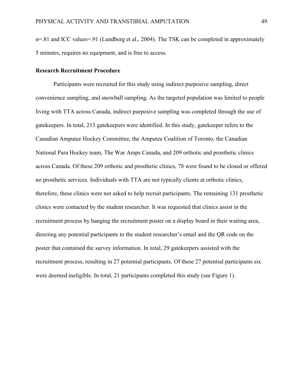$\alpha$ =.81 and ICC values=.91 (Lundberg et al., 2004). The TSK can be completed in approximately 5 minutes, requires no equipment, and is free to access.

# **Research Recruitment Procedure**

Participants were recruited for this study using indirect purposive sampling, direct convenience sampling, and snowball sampling. As the targeted population was limited to people living with TTA across Canada, indirect purposive sampling was completed through the use of gatekeepers. In total, 213 gatekeepers were identified. In this study, gatekeeper refers to the Canadian Amputee Hockey Committee, the Amputee Coalition of Toronto, the Canadian National Para Hockey team, The War Amps Canada, and 209 orthotic and prosthetic clinics across Canada. Of these 209 orthotic and prosthetic clinics, 78 were found to be closed or offered no prosthetic services. Individuals with TTA are not typically clients at orthotic clinics, therefore, these clinics were not asked to help recruit participants. The remaining 131 prosthetic clinics were contacted by the student researcher. It was requested that clinics assist in the recruitment process by hanging the recruitment poster on a display board in their waiting area, directing any potential participants to the student researcher's email and the QR code on the poster that contained the survey information. In total, 29 gatekeepers assisted with the recruitment process, resulting in 27 potential participants. Of these 27 potential participants six were deemed ineligible. In total, 21 participants completed this study (see Figure 1).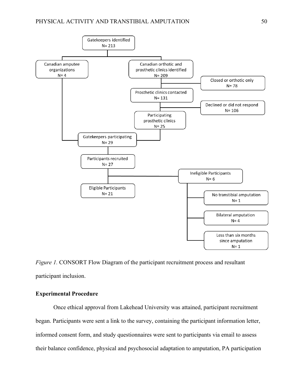

*Figure 1.* CONSORT Flow Diagram of the participant recruitment process and resultant participant inclusion.

# **Experimental Procedure**

Once ethical approval from Lakehead University was attained, participant recruitment began. Participants were sent a link to the survey, containing the participant information letter, informed consent form, and study questionnaires were sent to participants via email to assess their balance confidence, physical and psychosocial adaptation to amputation, PA participation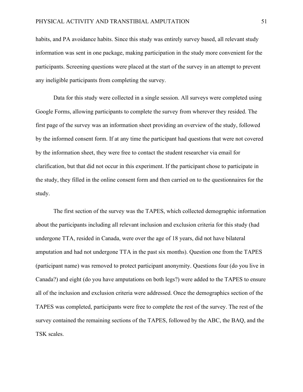habits, and PA avoidance habits. Since this study was entirely survey based, all relevant study information was sent in one package, making participation in the study more convenient for the participants. Screening questions were placed at the start of the survey in an attempt to prevent any ineligible participants from completing the survey.

Data for this study were collected in a single session. All surveys were completed using Google Forms, allowing participants to complete the survey from wherever they resided. The first page of the survey was an information sheet providing an overview of the study, followed by the informed consent form. If at any time the participant had questions that were not covered by the information sheet, they were free to contact the student researcher via email for clarification, but that did not occur in this experiment. If the participant chose to participate in the study, they filled in the online consent form and then carried on to the questionnaires for the study.

The first section of the survey was the TAPES, which collected demographic information about the participants including all relevant inclusion and exclusion criteria for this study (had undergone TTA, resided in Canada, were over the age of 18 years, did not have bilateral amputation and had not undergone TTA in the past six months). Question one from the TAPES (participant name) was removed to protect participant anonymity. Questions four (do you live in Canada?) and eight (do you have amputations on both legs?) were added to the TAPES to ensure all of the inclusion and exclusion criteria were addressed. Once the demographics section of the TAPES was completed, participants were free to complete the rest of the survey. The rest of the survey contained the remaining sections of the TAPES, followed by the ABC, the BAQ, and the TSK scales.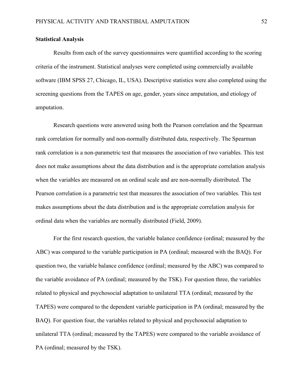#### **Statistical Analysis**

Results from each of the survey questionnaires were quantified according to the scoring criteria of the instrument. Statistical analyses were completed using commercially available software (IBM SPSS 27, Chicago, IL, USA). Descriptive statistics were also completed using the screening questions from the TAPES on age, gender, years since amputation, and etiology of amputation.

Research questions were answered using both the Pearson correlation and the Spearman rank correlation for normally and non-normally distributed data, respectively. The Spearman rank correlation is a non-parametric test that measures the association of two variables. This test does not make assumptions about the data distribution and is the appropriate correlation analysis when the variables are measured on an ordinal scale and are non-normally distributed. The Pearson correlation is a parametric test that measures the association of two variables. This test makes assumptions about the data distribution and is the appropriate correlation analysis for ordinal data when the variables are normally distributed (Field, 2009).

For the first research question, the variable balance confidence (ordinal; measured by the ABC) was compared to the variable participation in PA (ordinal; measured with the BAQ). For question two, the variable balance confidence (ordinal; measured by the ABC) was compared to the variable avoidance of PA (ordinal; measured by the TSK). For question three, the variables related to physical and psychosocial adaptation to unilateral TTA (ordinal; measured by the TAPES) were compared to the dependent variable participation in PA (ordinal; measured by the BAQ). For question four, the variables related to physical and psychosocial adaptation to unilateral TTA (ordinal; measured by the TAPES) were compared to the variable avoidance of PA (ordinal; measured by the TSK).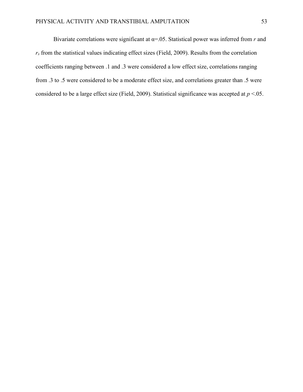Bivariate correlations were significant at α=.05. Statistical power was inferred from *r* and  $r<sub>s</sub>$  from the statistical values indicating effect sizes (Field, 2009). Results from the correlation coefficients ranging between .1 and .3 were considered a low effect size, correlations ranging from .3 to .5 were considered to be a moderate effect size, and correlations greater than .5 were considered to be a large effect size (Field, 2009). Statistical significance was accepted at *p* <.05.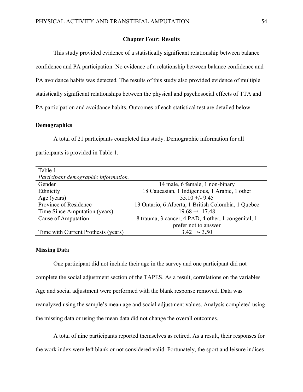# **Chapter Four: Results**

This study provided evidence of a statistically significant relationship between balance confidence and PA participation. No evidence of a relationship between balance confidence and PA avoidance habits was detected*.* The results of this study also provided evidence of multiple statistically significant relationships between the physical and psychosocial effects of TTA and PA participation and avoidance habits. Outcomes of each statistical test are detailed below.

# **Demographics**

A total of 21 participants completed this study. Demographic information for all participants is provided in Table 1.

| Table 1.                             |                                                     |
|--------------------------------------|-----------------------------------------------------|
| Participant demographic information. |                                                     |
| Gender                               | 14 male, 6 female, 1 non-binary                     |
| Ethnicity                            | 18 Caucasian, 1 Indigenous, 1 Arabic, 1 other       |
| Age (years)                          | $55.10 + (-9.45)$                                   |
| Province of Residence                | 13 Ontario, 6 Alberta, 1 British Colombia, 1 Quebec |
| Time Since Amputation (years)        | $19.68 + - 17.48$                                   |
| Cause of Amputation                  | 8 trauma, 3 cancer, 4 PAD, 4 other, 1 congenital, 1 |
|                                      | prefer not to answer                                |
| Time with Current Prothesis (years)  | $3.42 + -3.50$                                      |

# **Missing Data**

One participant did not include their age in the survey and one participant did not complete the social adjustment section of the TAPES. As a result, correlations on the variables Age and social adjustment were performed with the blank response removed. Data was reanalyzed using the sample's mean age and social adjustment values. Analysis completed using the missing data or using the mean data did not change the overall outcomes.

A total of nine participants reported themselves as retired. As a result, their responses for the work index were left blank or not considered valid. Fortunately, the sport and leisure indices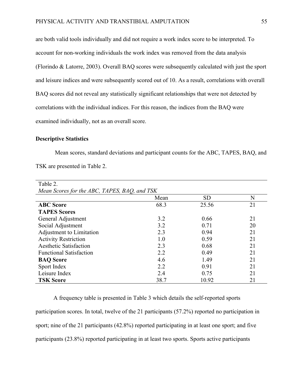are both valid tools individually and did not require a work index score to be interpreted. To account for non-working individuals the work index was removed from the data analysis (Florindo & Latorre, 2003). Overall BAQ scores were subsequently calculated with just the sport and leisure indices and were subsequently scored out of 10. As a result, correlations with overall BAQ scores did not reveal any statistically significant relationships that were not detected by correlations with the individual indices. For this reason, the indices from the BAQ were examined individually, not as an overall score.

# **Descriptive Statistics**

Mean scores, standard deviations and participant counts for the ABC, TAPES, BAQ, and TSK are presented in Table 2.

| Table 2.                                     |      |           |    |  |
|----------------------------------------------|------|-----------|----|--|
| Mean Scores for the ABC, TAPES, BAQ, and TSK |      |           |    |  |
|                                              | Mean | <b>SD</b> | N  |  |
| <b>ABC</b> Score                             | 68.3 | 25.56     | 21 |  |
| <b>TAPES Scores</b>                          |      |           |    |  |
| General Adjustment                           | 3.2  | 0.66      | 21 |  |
| Social Adjustment                            | 3.2  | 0.71      | 20 |  |
| Adjustment to Limitation                     | 2.3  | 0.94      | 21 |  |
| <b>Activity Restriction</b>                  | 1.0  | 0.59      | 21 |  |
| <b>Aesthetic Satisfaction</b>                | 2.3  | 0.68      | 21 |  |
| <b>Functional Satisfaction</b>               | 2.2  | 0.49      | 21 |  |
| <b>BAQ</b> Score                             | 4.6  | 1.49      | 21 |  |
| Sport Index                                  | 2.2  | 0.91      | 21 |  |
| Leisure Index                                | 2.4  | 0.75      | 21 |  |
| <b>TSK Score</b>                             | 38.7 | 10.92     | 21 |  |

A frequency table is presented in Table 3 which details the self-reported sports participation scores. In total, twelve of the 21 participants (57.2%) reported no participation in sport; nine of the 21 participants (42.8%) reported participating in at least one sport; and five participants (23.8%) reported participating in at least two sports. Sports active participants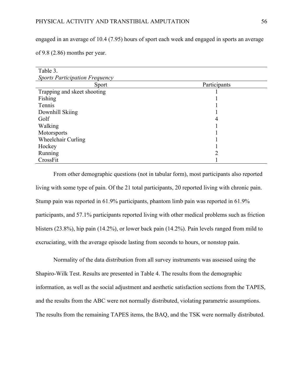engaged in an average of 10.4 (7.95) hours of sport each week and engaged in sports an average

of 9.8 (2.86) months per year.

| Table 3.                              |              |  |  |  |
|---------------------------------------|--------------|--|--|--|
| <b>Sports Participation Frequency</b> |              |  |  |  |
| Sport                                 | Participants |  |  |  |
| Trapping and skeet shooting           |              |  |  |  |
| Fishing                               |              |  |  |  |
| Tennis                                |              |  |  |  |
| Downhill Skiing                       |              |  |  |  |
| Golf                                  | 4            |  |  |  |
| Walking                               |              |  |  |  |
| Motorsports                           |              |  |  |  |
| Wheelchair Curling                    |              |  |  |  |
| Hockey                                |              |  |  |  |
| Running                               |              |  |  |  |
| CrossFit                              |              |  |  |  |

From other demographic questions (not in tabular form), most participants also reported living with some type of pain. Of the 21 total participants, 20 reported living with chronic pain. Stump pain was reported in 61.9% participants, phantom limb pain was reported in 61.9% participants, and 57.1% participants reported living with other medical problems such as friction blisters (23.8%), hip pain (14.2%), or lower back pain (14.2%). Pain levels ranged from mild to excruciating, with the average episode lasting from seconds to hours, or nonstop pain.

Normality of the data distribution from all survey instruments was assessed using the Shapiro-Wilk Test. Results are presented in Table 4. The results from the demographic information, as well as the social adjustment and aesthetic satisfaction sections from the TAPES, and the results from the ABC were not normally distributed, violating parametric assumptions. The results from the remaining TAPES items, the BAQ, and the TSK were normally distributed.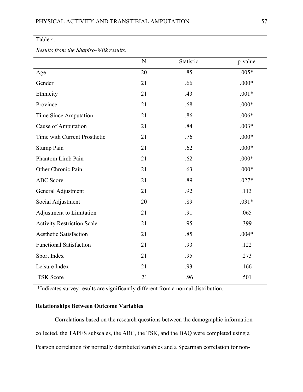# Table 4.

|                                   | N  | Statistic | p-value |
|-----------------------------------|----|-----------|---------|
| Age                               | 20 | .85       | $.005*$ |
| Gender                            | 21 | .66       | $.000*$ |
| Ethnicity                         | 21 | .43       | $.001*$ |
| Province                          | 21 | .68       | $.000*$ |
| Time Since Amputation             | 21 | .86       | $.006*$ |
| Cause of Amputation               | 21 | .84       | $.003*$ |
| Time with Current Prosthetic      | 21 | .76       | $.000*$ |
| Stump Pain                        | 21 | .62       | $.000*$ |
| Phantom Limb Pain                 | 21 | .62       | $.000*$ |
| Other Chronic Pain                | 21 | .63       | $.000*$ |
| <b>ABC</b> Score                  | 21 | .89       | $.027*$ |
| General Adjustment                | 21 | .92       | .113    |
| Social Adjustment                 | 20 | .89       | $.031*$ |
| Adjustment to Limitation          | 21 | .91       | .065    |
| <b>Activity Restriction Scale</b> | 21 | .95       | .399    |
| <b>Aesthetic Satisfaction</b>     | 21 | .85       | $.004*$ |
| <b>Functional Satisfaction</b>    | 21 | .93       | .122    |
| Sport Index                       | 21 | .95       | .273    |
| Leisure Index                     | 21 | .93       | .166    |
| <b>TSK Score</b>                  | 21 | .96       | .501    |

# *Results from the Shapiro-Wilk results.*

\*Indicates survey results are significantly different from a normal distribution.

# **Relationships Between Outcome Variables**

Correlations based on the research questions between the demographic information collected, the TAPES subscales, the ABC, the TSK, and the BAQ were completed using a Pearson correlation for normally distributed variables and a Spearman correlation for non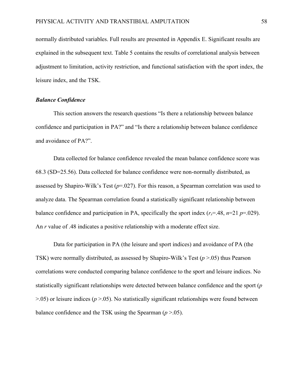normally distributed variables. Full results are presented in Appendix E. Significant results are explained in the subsequent text. Table 5 contains the results of correlational analysis between adjustment to limitation, activity restriction, and functional satisfaction with the sport index, the leisure index, and the TSK.

# *Balance Confidence*

This section answers the research questions "Is there a relationship between balance confidence and participation in PA?" and "Is there a relationship between balance confidence and avoidance of PA?".

Data collected for balance confidence revealed the mean balance confidence score was 68.3 (SD=25.56). Data collected for balance confidence were non-normally distributed, as assessed by Shapiro-Wilk's Test (*p*=.027). For this reason, a Spearman correlation was used to analyze data. The Spearman correlation found a statistically significant relationship between balance confidence and participation in PA, specifically the sport index  $(r_s=48, n=21 p=.029)$ . An *r* value of .48 indicates a positive relationship with a moderate effect size.

Data for participation in PA (the leisure and sport indices) and avoidance of PA (the TSK) were normally distributed, as assessed by Shapiro-Wilk's Test (*p* >.05) thus Pearson correlations were conducted comparing balance confidence to the sport and leisure indices. No statistically significant relationships were detected between balance confidence and the sport (*p*  >.05) or leisure indices (*p* >.05). No statistically significant relationships were found between balance confidence and the TSK using the Spearman (*p* >.05).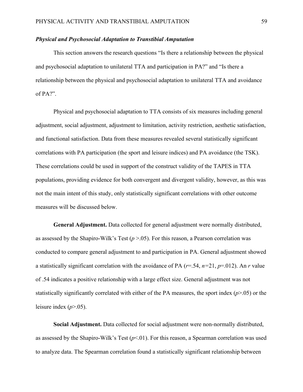# *Physical and Psychosocial Adaptation to Transtibial Amputation*

This section answers the research questions "Is there a relationship between the physical and psychosocial adaptation to unilateral TTA and participation in PA?" and "Is there a relationship between the physical and psychosocial adaptation to unilateral TTA and avoidance of PA?".

Physical and psychosocial adaptation to TTA consists of six measures including general adjustment, social adjustment, adjustment to limitation, activity restriction, aesthetic satisfaction, and functional satisfaction. Data from these measures revealed several statistically significant correlations with PA participation (the sport and leisure indices) and PA avoidance (the TSK). These correlations could be used in support of the construct validity of the TAPES in TTA populations, providing evidence for both convergent and divergent validity, however, as this was not the main intent of this study, only statistically significant correlations with other outcome measures will be discussed below.

**General Adjustment.** Data collected for general adjustment were normally distributed, as assessed by the Shapiro-Wilk's Test  $(p > .05)$ . For this reason, a Pearson correlation was conducted to compare general adjustment to and participation in PA. General adjustment showed a statistically significant correlation with the avoidance of PA (*r*=.54, *n=*21, *p*=.012). An *r* value of .54 indicates a positive relationship with a large effect size. General adjustment was not statistically significantly correlated with either of the PA measures, the sport index (*p*>.05) or the leisure index  $(p>0.05)$ .

**Social Adjustment.** Data collected for social adjustment were non-normally distributed, as assessed by the Shapiro-Wilk's Test (*p*<.01). For this reason, a Spearman correlation was used to analyze data. The Spearman correlation found a statistically significant relationship between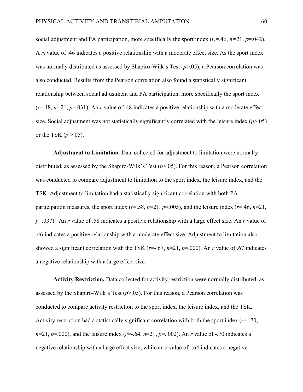social adjustment and PA participation, more specifically the sport index  $(r<sub>s</sub>=46, n=21, p=.042)$ . A  $r_s$  value of .46 indicates a positive relationship with a moderate effect size. As the sport index was normally distributed as assessed by Shapiro-Wilk's Test (*p*>.05), a Pearson correlation was also conducted. Results from the Pearson correlation also found a statistically significant relationship between social adjustment and PA participation, more specifically the sport index  $(r=48, n=21, p=.031)$ . An *r* value of .48 indicates a positive relationship with a moderate effect size. Social adjustment was not statistically significantly correlated with the leisure index (*p*>.05) or the TSK  $(p > .05)$ .

**Adjustment to Limitation.** Data collected for adjustment to limitation were normally distributed, as assessed by the Shapiro-Wilk's Test (*p*>.05). For this reason, a Pearson correlation was conducted to compare adjustment to limitation to the sport index, the leisure index, and the TSK. Adjustment to limitation had a statistically significant correlation with both PA participation measures, the sport index ( $r=.58$ ,  $n=21$ ,  $p=.005$ ), and the leisure index ( $r=.46$ ,  $n=21$ , *p*=.037). An *r* value of .58 indicates a positive relationship with a large effect size. An *r* value of .46 indicates a positive relationship with a moderate effect size. Adjustment to limitation also showed a significant correlation with the TSK  $(r=.67, n=21, p=.000)$ . An *r* value of .67 indicates a negative relationship with a large effect size.

**Activity Restriction.** Data collected for activity restriction were normally distributed, as assessed by the Shapiro-Wilk's Test  $(p>0.05)$ . For this reason, a Pearson correlation was conducted to compare activity restriction to the sport index, the leisure index, and the TSK. Activity restriction had a statistically significant correlation with both the sport index (*r*=-.70, *n*=21, *p*=.000), and the leisure index (*r*=-.64, *n*=21, *p*=. 002). An *r* value of -.70 indicates a negative relationship with a large effect size, while an *r* value of -.64 indicates a negative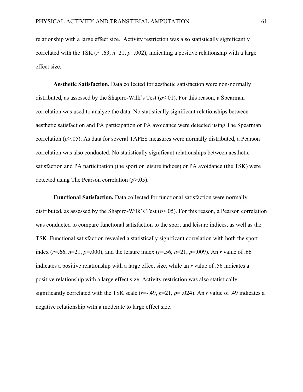relationship with a large effect size.Activity restriction was also statistically significantly correlated with the TSK  $(r=.63, n=21, p=.002)$ , indicating a positive relationship with a large effect size.

**Aesthetic Satisfaction.** Data collected for aesthetic satisfaction were non-normally distributed, as assessed by the Shapiro-Wilk's Test  $(p<01)$ . For this reason, a Spearman correlation was used to analyze the data. No statistically significant relationships between aesthetic satisfaction and PA participation or PA avoidance were detected using The Spearman correlation (*p*>.05). As data for several TAPES measures were normally distributed, a Pearson correlation was also conducted. No statistically significant relationships between aesthetic satisfaction and PA participation (the sport or leisure indices) or PA avoidance (the TSK) were detected using The Pearson correlation (*p*>.05).

**Functional Satisfaction.** Data collected for functional satisfaction were normally distributed, as assessed by the Shapiro-Wilk's Test (*p*>.05). For this reason, a Pearson correlation was conducted to compare functional satisfaction to the sport and leisure indices, as well as the TSK. Functional satisfaction revealed a statistically significant correlation with both the sport index (*r*=.66, *n*=21, *p*=.000), and the leisure index (*r*=.56, *n*=21, *p*=.009). An *r* value of .66 indicates a positive relationship with a large effect size, while an *r* value of .56 indicates a positive relationship with a large effect size. Activity restriction was also statistically significantly correlated with the TSK scale  $(r=.49, n=21, p=.024)$ . An *r* value of .49 indicates a negative relationship with a moderate to large effect size.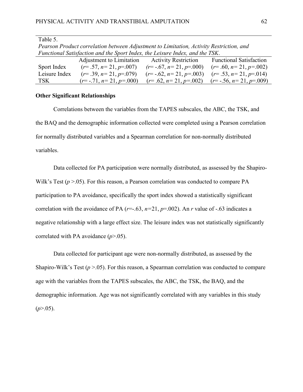| Pearson Product correlation between Adjustment to Limitation, Activity Restriction, and |                                               |                                                 |                                |  |
|-----------------------------------------------------------------------------------------|-----------------------------------------------|-------------------------------------------------|--------------------------------|--|
| Functional Satisfaction and the Sport Index, the Leisure Index, and the TSK.            |                                               |                                                 |                                |  |
|                                                                                         | Adjustment to Limitation Activity Restriction |                                                 | <b>Functional Satisfaction</b> |  |
| Sport Index                                                                             | $(r=.57, n=21, p=.007)$                       | $(r=-.67, n=21, p=.000)$                        | $(r=.60, n=21, p=.002)$        |  |
| Leisure Index                                                                           | $(r=.39, n=.21, p=.079)$                      | $(r=-.62, n=21, p=.003)$                        | $(r=.53, n=21, p=.014)$        |  |
| TSK                                                                                     | $(r = -.71, n = 21, p = .000)$                | $(r=.62, n=21, p=.002)$ $(r=.56, n=21, p=.009)$ |                                |  |

*Pearson Product correlation between Adjustment to Limitation, Activity Restriction, and* 

# **Other Significant Relationships**

Table 5.

Correlations between the variables from the TAPES subscales, the ABC, the TSK, and the BAQ and the demographic information collected were completed using a Pearson correlation for normally distributed variables and a Spearman correlation for non-normally distributed variables.

Data collected for PA participation were normally distributed, as assessed by the Shapiro-Wilk's Test ( $p > 0.05$ ). For this reason, a Pearson correlation was conducted to compare PA participation to PA avoidance, specifically the sport index showed a statistically significant correlation with the avoidance of PA ( $r=-.63$ ,  $n=21$ ,  $p=.002$ ). An  $r$  value of  $-.63$  indicates a negative relationship with a large effect size. The leisure index was not statistically significantly correlated with PA avoidance (*p*>.05).

Data collected for participant age were non-normally distributed, as assessed by the Shapiro-Wilk's Test  $(p > 0.05)$ . For this reason, a Spearman correlation was conducted to compare age with the variables from the TAPES subscales, the ABC, the TSK, the BAQ, and the demographic information. Age was not significantly correlated with any variables in this study  $(p>0.05)$ .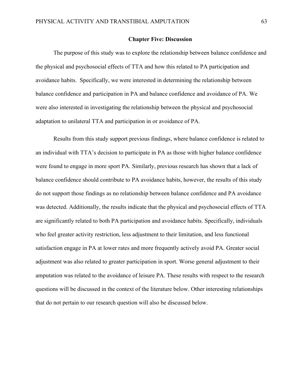#### **Chapter Five: Discussion**

The purpose of this study was to explore the relationship between balance confidence and the physical and psychosocial effects of TTA and how this related to PA participation and avoidance habits. Specifically, we were interested in determining the relationship between balance confidence and participation in PA and balance confidence and avoidance of PA. We were also interested in investigating the relationship between the physical and psychosocial adaptation to unilateral TTA and participation in or avoidance of PA.

Results from this study support previous findings, where balance confidence is related to an individual with TTA's decision to participate in PA as those with higher balance confidence were found to engage in more sport PA. Similarly, previous research has shown that a lack of balance confidence should contribute to PA avoidance habits, however, the results of this study do not support those findings as no relationship between balance confidence and PA avoidance was detected. Additionally, the results indicate that the physical and psychosocial effects of TTA are significantly related to both PA participation and avoidance habits. Specifically, individuals who feel greater activity restriction, less adjustment to their limitation, and less functional satisfaction engage in PA at lower rates and more frequently actively avoid PA. Greater social adjustment was also related to greater participation in sport. Worse general adjustment to their amputation was related to the avoidance of leisure PA. These results with respect to the research questions will be discussed in the context of the literature below. Other interesting relationships that do not pertain to our research question will also be discussed below.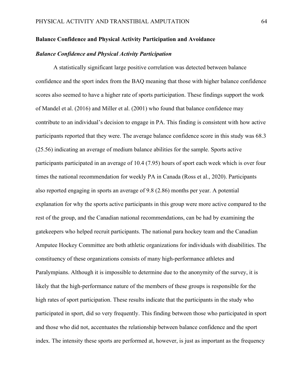## **Balance Confidence and Physical Activity Participation and Avoidance**

# *Balance Confidence and Physical Activity Participation*

A statistically significant large positive correlation was detected between balance confidence and the sport index from the BAQ meaning that those with higher balance confidence scores also seemed to have a higher rate of sports participation. These findings support the work of Mandel et al. (2016) and Miller et al. (2001) who found that balance confidence may contribute to an individual's decision to engage in PA. This finding is consistent with how active participants reported that they were. The average balance confidence score in this study was 68.3 (25.56) indicating an average of medium balance abilities for the sample. Sports active participants participated in an average of 10.4 (7.95) hours of sport each week which is over four times the national recommendation for weekly PA in Canada (Ross et al., 2020). Participants also reported engaging in sports an average of 9.8 (2.86) months per year. A potential explanation for why the sports active participants in this group were more active compared to the rest of the group, and the Canadian national recommendations, can be had by examining the gatekeepers who helped recruit participants. The national para hockey team and the Canadian Amputee Hockey Committee are both athletic organizations for individuals with disabilities. The constituency of these organizations consists of many high-performance athletes and Paralympians. Although it is impossible to determine due to the anonymity of the survey, it is likely that the high-performance nature of the members of these groups is responsible for the high rates of sport participation. These results indicate that the participants in the study who participated in sport, did so very frequently. This finding between those who participated in sport and those who did not, accentuates the relationship between balance confidence and the sport index. The intensity these sports are performed at, however, is just as important as the frequency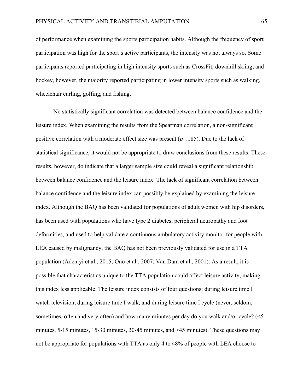of performance when examining the sports participation habits. Although the frequency of sport participation was high for the sport's active participants, the intensity was not always so. Some participants reported participating in high intensity sports such as CrossFit, downhill skiing, and hockey, however, the majority reported participating in lower intensity sports such as walking, wheelchair curling, golfing, and fishing.

No statistically significant correlation was detected between balance confidence and the leisure index. When examining the results from the Spearman correlation, a non-significant positive correlation with a moderate effect size was present (*p*=.185). Due to the lack of statistical significance, it would not be appropriate to draw conclusions from these results. These results, however, do indicate that a larger sample size could reveal a significant relationship between balance confidence and the leisure index. The lack of significant correlation between balance confidence and the leisure index can possibly be explained by examining the leisure index. Although the BAQ has been validated for populations of adult women with hip disorders, has been used with populations who have type 2 diabetes, peripheral neuropathy and foot deformities, and used to help validate a continuous ambulatory activity monitor for people with LEA caused by malignancy, the BAQ has not been previously validated for use in a TTA population (Adeniyi et al., 2015; Ono et al., 2007; Van Dam et al., 2001). As a result, it is possible that characteristics unique to the TTA population could affect leisure activity, making this index less applicable. The leisure index consists of four questions: during leisure time I watch television, during leisure time I walk, and during leisure time I cycle (never, seldom, sometimes, often and very often) and how many minutes per day do you walk and/or cycle? (<5 minutes, 5-15 minutes, 15-30 minutes, 30-45 minutes, and >45 minutes). These questions may not be appropriate for populations with TTA as only 4 to 48% of people with LEA choose to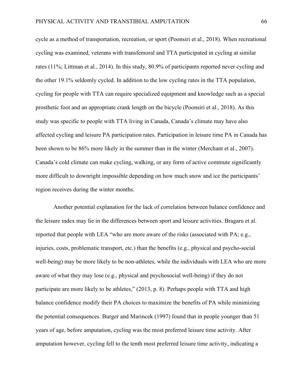cycle as a method of transportation, recreation, or sport (Poonsiri et al., 2018). When recreational cycling was examined, veterans with transfemoral and TTA participated in cycling at similar rates (11%; Littman et al., 2014). In this study, 80.9% of participants reported never cycling and the other 19.1% seldomly cycled. In addition to the low cycling rates in the TTA population, cycling for people with TTA can require specialized equipment and knowledge such as a special prosthetic foot and an appropriate crank length on the bicycle (Poonsiri et al., 2018). As this study was specific to people with TTA living in Canada, Canada's climate may have also affected cycling and leisure PA participation rates. Participation in leisure time PA in Canada has been shown to be 86% more likely in the summer than in the winter (Merchant et al., 2007). Canada's cold climate can make cycling, walking, or any form of active commute significantly more difficult to downright impossible depending on how much snow and ice the participants' region receives during the winter months.

Another potential explanation for the lack of correlation between balance confidence and the leisure index may lie in the differences between sport and leisure activities. Bragaru et al. reported that people with LEA "who are more aware of the risks (associated with PA; e.g., injuries, costs, problematic transport, etc.) than the benefits (e.g., physical and psycho-social well-being) may be more likely to be non-athletes, while the individuals with LEA who are more aware of what they may lose (e.g., physical and psychosocial well-being) if they do not participate are more likely to be athletes," (2013, p. 8). Perhaps people with TTA and high balance confidence modify their PA choices to maximize the benefits of PA while minimizing the potential consequences. Burger and Marincek (1997) found that in people younger than 51 years of age, before amputation, cycling was the most preferred leisure time activity. After amputation however, cycling fell to the tenth most preferred leisure time activity, indicating a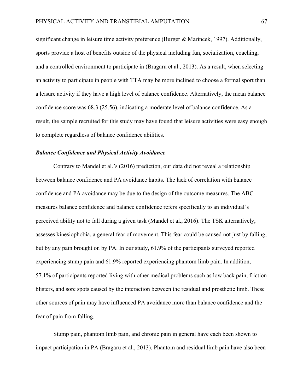significant change in leisure time activity preference (Burger & Marincek, 1997). Additionally, sports provide a host of benefits outside of the physical including fun, socialization, coaching, and a controlled environment to participate in (Bragaru et al., 2013). As a result, when selecting an activity to participate in people with TTA may be more inclined to choose a formal sport than a leisure activity if they have a high level of balance confidence. Alternatively, the mean balance confidence score was 68.3 (25.56), indicating a moderate level of balance confidence. As a result, the sample recruited for this study may have found that leisure activities were easy enough to complete regardless of balance confidence abilities.

# *Balance Confidence and Physical Activity Avoidance*

Contrary to Mandel et al.'s (2016) prediction, our data did not reveal a relationship between balance confidence and PA avoidance habits. The lack of correlation with balance confidence and PA avoidance may be due to the design of the outcome measures. The ABC measures balance confidence and balance confidence refers specifically to an individual's perceived ability not to fall during a given task (Mandel et al., 2016). The TSK alternatively, assesses kinesiophobia, a general fear of movement. This fear could be caused not just by falling, but by any pain brought on by PA. In our study, 61.9% of the participants surveyed reported experiencing stump pain and 61.9% reported experiencing phantom limb pain. In addition, 57.1% of participants reported living with other medical problems such as low back pain, friction blisters, and sore spots caused by the interaction between the residual and prosthetic limb. These other sources of pain may have influenced PA avoidance more than balance confidence and the fear of pain from falling.

Stump pain, phantom limb pain, and chronic pain in general have each been shown to impact participation in PA (Bragaru et al., 2013). Phantom and residual limb pain have also been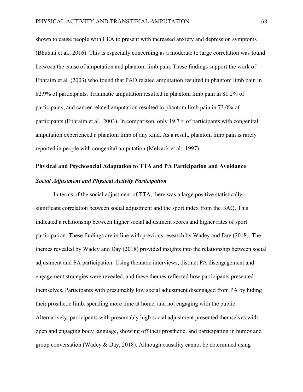shown to cause people with LEA to present with increased anxiety and depression symptoms (Bhutani et al., 2016). This is especially concerning as a moderate to large correlation was found between the cause of amputation and phantom limb pain. These findings support the work of Ephraim et al. (2003) who found that PAD related amputation resulted in phantom limb pain in 82.9% of participants. Traumatic amputation resulted in phantom limb pain in 81.2% of participants, and cancer related amputation resulted in phantom limb pain in 73.0% of participants (Ephraim et al., 2003). In comparison, only 19.7% of participants with congenital amputation experienced a phantom limb of any kind. As a result, phantom limb pain is rarely reported in people with congenital amputation (Melzack et al., 1997).

# **Physical and Psychosocial Adaptation to TTA and PA Participation and Avoidance** *Social Adjustment and Physical Activity Participation*

In terms of the social adjustment of TTA, there was a large positive statistically significant correlation between social adjustment and the sport index from the BAQ. This indicated a relationship between higher social adjustment scores and higher rates of sport participation. These findings are in line with previous research by Wadey and Day (2018). The themes revealed by Wadey and Day (2018) provided insights into the relationship between social adjustment and PA participation. Using thematic interviews, distinct PA disengagement and engagement strategies were revealed, and these themes reflected how participants presented themselves. Participants with presumably low social adjustment disengaged from PA by hiding their prosthetic limb, spending more time at home, and not engaging with the public. Alternatively, participants with presumably high social adjustment presented themselves with open and engaging body language, showing off their prosthetic, and participating in humor and group conversation (Wadey & Day, 2018). Although causality cannot be determined using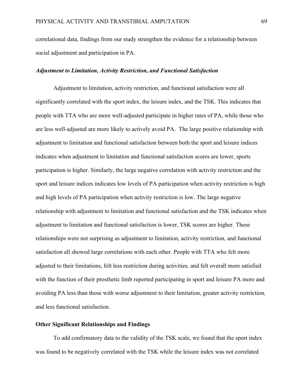correlational data, findings from our study strengthen the evidence for a relationship between social adjustment and participation in PA.

# *Adjustment to Limitation, Activity Restriction, and Functional Satisfaction*

Adjustment to limitation, activity restriction*,* and functional satisfaction were all significantly correlated with the sport index, the leisure index, and the TSK. This indicates that people with TTA who are more well-adjusted participate in higher rates of PA, while those who are less well-adjusted are more likely to actively avoid PA. The large positive relationship with adjustment to limitation and functional satisfaction between both the sport and leisure indices indicates when adjustment to limitation and functional satisfaction scores are lower, sports participation is higher. Similarly, the large negative correlation with activity restriction and the sport and leisure indices indicates low levels of PA participation when activity restriction is high and high levels of PA participation when activity restriction is low. The large negative relationship with adjustment to limitation and functional satisfaction and the TSK indicates when adjustment to limitation and functional satisfaction is lower, TSK scores are higher. These relationships were not surprising as adjustment to limitation, activity restriction*,* and functional satisfaction all showed large correlations with each other. People with TTA who felt more adjusted to their limitations, felt less restriction during activities*,* and felt overall more satisfied with the function of their prosthetic limb reported participating in sport and leisure PA more and avoiding PA less than those with worse adjustment to their limitation, greater activity restriction*,* and less functional satisfaction.

# **Other Significant Relationships and Findings**

To add confirmatory data to the validity of the TSK scale, we found that the sport index was found to be negatively correlated with the TSK while the leisure index was not correlated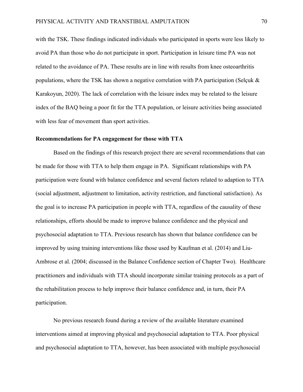with the TSK. These findings indicated individuals who participated in sports were less likely to avoid PA than those who do not participate in sport. Participation in leisure time PA was not related to the avoidance of PA. These results are in line with results from knee osteoarthritis populations, where the TSK has shown a negative correlation with PA participation (Selçuk & Karakoyun, 2020). The lack of correlation with the leisure index may be related to the leisure index of the BAQ being a poor fit for the TTA population, or leisure activities being associated with less fear of movement than sport activities.

# **Recommendations for PA engagement for those with TTA**

Based on the findings of this research project there are several recommendations that can be made for those with TTA to help them engage in PA. Significant relationships with PA participation were found with balance confidence and several factors related to adaption to TTA (social adjustment, adjustment to limitation, activity restriction, and functional satisfaction). As the goal is to increase PA participation in people with TTA, regardless of the causality of these relationships, efforts should be made to improve balance confidence and the physical and psychosocial adaptation to TTA. Previous research has shown that balance confidence can be improved by using training interventions like those used by Kaufman et al. (2014) and Liu-Ambrose et al. (2004; discussed in the Balance Confidence section of Chapter Two). Healthcare practitioners and individuals with TTA should incorporate similar training protocols as a part of the rehabilitation process to help improve their balance confidence and, in turn, their PA participation.

No previous research found during a review of the available literature examined interventions aimed at improving physical and psychosocial adaptation to TTA. Poor physical and psychosocial adaptation to TTA, however, has been associated with multiple psychosocial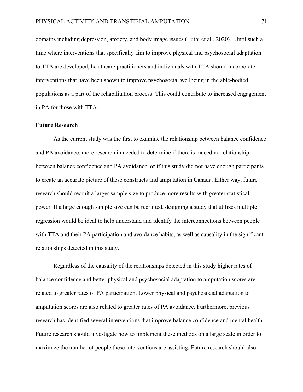domains including depression, anxiety, and body image issues (Luthi et al., 2020). Until such a time where interventions that specifically aim to improve physical and psychosocial adaptation to TTA are developed, healthcare practitioners and individuals with TTA should incorporate interventions that have been shown to improve psychosocial wellbeing in the able-bodied populations as a part of the rehabilitation process. This could contribute to increased engagement in PA for those with TTA.

## **Future Research**

As the current study was the first to examine the relationship between balance confidence and PA avoidance, more research in needed to determine if there is indeed no relationship between balance confidence and PA avoidance, or if this study did not have enough participants to create an accurate picture of these constructs and amputation in Canada. Either way, future research should recruit a larger sample size to produce more results with greater statistical power. If a large enough sample size can be recruited, designing a study that utilizes multiple regression would be ideal to help understand and identify the interconnections between people with TTA and their PA participation and avoidance habits, as well as causality in the significant relationships detected in this study.

Regardless of the causality of the relationships detected in this study higher rates of balance confidence and better physical and psychosocial adaptation to amputation scores are related to greater rates of PA participation. Lower physical and psychosocial adaptation to amputation scores are also related to greater rates of PA avoidance. Furthermore, previous research has identified several interventions that improve balance confidence and mental health. Future research should investigate how to implement these methods on a large scale in order to maximize the number of people these interventions are assisting. Future research should also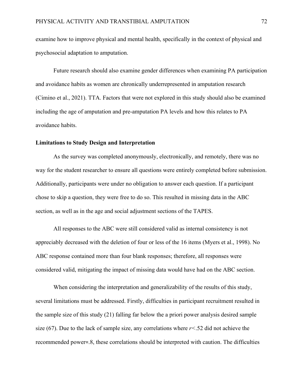examine how to improve physical and mental health, specifically in the context of physical and psychosocial adaptation to amputation.

Future research should also examine gender differences when examining PA participation and avoidance habits as women are chronically underrepresented in amputation research (Cimino et al., 2021). TTA. Factors that were not explored in this study should also be examined including the age of amputation and pre-amputation PA levels and how this relates to PA avoidance habits.

#### **Limitations to Study Design and Interpretation**

As the survey was completed anonymously, electronically, and remotely, there was no way for the student researcher to ensure all questions were entirely completed before submission. Additionally, participants were under no obligation to answer each question. If a participant chose to skip a question, they were free to do so. This resulted in missing data in the ABC section, as well as in the age and social adjustment sections of the TAPES.

All responses to the ABC were still considered valid as internal consistency is not appreciably decreased with the deletion of four or less of the 16 items (Myers et al., 1998). No ABC response contained more than four blank responses; therefore, all responses were considered valid, mitigating the impact of missing data would have had on the ABC section.

When considering the interpretation and generalizability of the results of this study, several limitations must be addressed. Firstly, difficulties in participant recruitment resulted in the sample size of this study (21) falling far below the a priori power analysis desired sample size (67). Due to the lack of sample size, any correlations where *r<*.52 did not achieve the recommended power=.8, these correlations should be interpreted with caution. The difficulties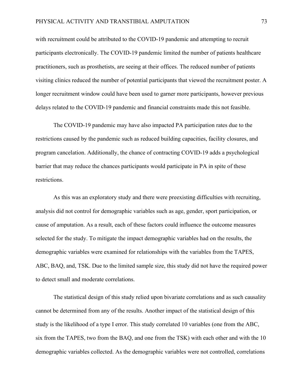with recruitment could be attributed to the COVID-19 pandemic and attempting to recruit participants electronically. The COVID-19 pandemic limited the number of patients healthcare practitioners, such as prosthetists, are seeing at their offices. The reduced number of patients visiting clinics reduced the number of potential participants that viewed the recruitment poster. A longer recruitment window could have been used to garner more participants, however previous delays related to the COVID-19 pandemic and financial constraints made this not feasible.

The COVID-19 pandemic may have also impacted PA participation rates due to the restrictions caused by the pandemic such as reduced building capacities, facility closures, and program cancelation. Additionally, the chance of contracting COVID-19 adds a psychological barrier that may reduce the chances participants would participate in PA in spite of these restrictions.

As this was an exploratory study and there were preexisting difficulties with recruiting, analysis did not control for demographic variables such as age, gender, sport participation, or cause of amputation. As a result, each of these factors could influence the outcome measures selected for the study. To mitigate the impact demographic variables had on the results, the demographic variables were examined for relationships with the variables from the TAPES, ABC, BAQ, and, TSK. Due to the limited sample size, this study did not have the required power to detect small and moderate correlations.

The statistical design of this study relied upon bivariate correlations and as such causality cannot be determined from any of the results. Another impact of the statistical design of this study is the likelihood of a type I error. This study correlated 10 variables (one from the ABC, six from the TAPES, two from the BAQ, and one from the TSK) with each other and with the 10 demographic variables collected. As the demographic variables were not controlled, correlations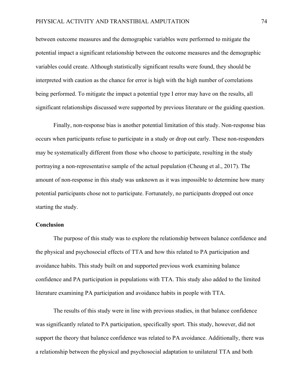between outcome measures and the demographic variables were performed to mitigate the potential impact a significant relationship between the outcome measures and the demographic variables could create. Although statistically significant results were found, they should be interpreted with caution as the chance for error is high with the high number of correlations being performed. To mitigate the impact a potential type I error may have on the results, all significant relationships discussed were supported by previous literature or the guiding question.

Finally, non-response bias is another potential limitation of this study. Non-response bias occurs when participants refuse to participate in a study or drop out early. These non-responders may be systematically different from those who choose to participate, resulting in the study portraying a non-representative sample of the actual population (Cheung et al., 2017). The amount of non-response in this study was unknown as it was impossible to determine how many potential participants chose not to participate. Fortunately, no participants dropped out once starting the study.

### **Conclusion**

The purpose of this study was to explore the relationship between balance confidence and the physical and psychosocial effects of TTA and how this related to PA participation and avoidance habits. This study built on and supported previous work examining balance confidence and PA participation in populations with TTA. This study also added to the limited literature examining PA participation and avoidance habits in people with TTA.

The results of this study were in line with previous studies, in that balance confidence was significantly related to PA participation, specifically sport. This study, however, did not support the theory that balance confidence was related to PA avoidance. Additionally, there was a relationship between the physical and psychosocial adaptation to unilateral TTA and both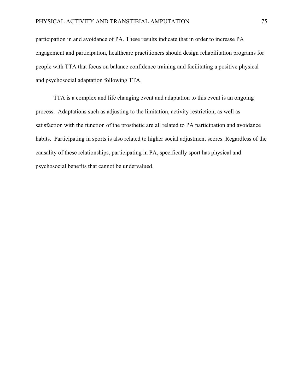participation in and avoidance of PA. These results indicate that in order to increase PA engagement and participation, healthcare practitioners should design rehabilitation programs for people with TTA that focus on balance confidence training and facilitating a positive physical and psychosocial adaptation following TTA.

TTA is a complex and life changing event and adaptation to this event is an ongoing process. Adaptations such as adjusting to the limitation, activity restriction, as well as satisfaction with the function of the prosthetic are all related to PA participation and avoidance habits. Participating in sports is also related to higher social adjustment scores. Regardless of the causality of these relationships, participating in PA, specifically sport has physical and psychosocial benefits that cannot be undervalued.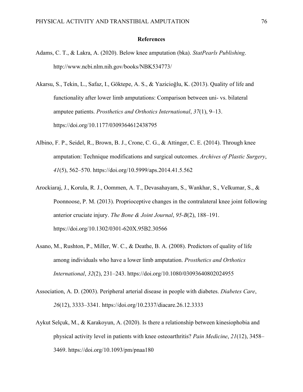#### **References**

- Adams, C. T., & Lakra, A. (2020). Below knee amputation (bka). *StatPearls Publishing*. http://www.ncbi.nlm.nih.gov/books/NBK534773/
- Akarsu, S., Tekin, L., Safaz, I., Göktepe, A. S., & Yazicioğlu, K. (2013). Quality of life and functionality after lower limb amputations: Comparison between uni- vs. bilateral amputee patients. *Prosthetics and Orthotics International*, *37*(1), 9–13. https://doi.org/10.1177/0309364612438795
- Albino, F. P., Seidel, R., Brown, B. J., Crone, C. G., & Attinger, C. E. (2014). Through knee amputation: Technique modifications and surgical outcomes. *Archives of Plastic Surgery*, *41*(5), 562–570. https://doi.org/10.5999/aps.2014.41.5.562
- Arockiaraj, J., Korula, R. J., Oommen, A. T., Devasahayam, S., Wankhar, S., Velkumar, S., & Poonnoose, P. M. (2013). Proprioceptive changes in the contralateral knee joint following anterior cruciate injury. *The Bone & Joint Journal*, *95-B*(2), 188–191. https://doi.org/10.1302/0301-620X.95B2.30566
- Asano, M., Rushton, P., Miller, W. C., & Deathe, B. A. (2008). Predictors of quality of life among individuals who have a lower limb amputation. *Prosthetics and Orthotics International*, *32*(2), 231–243. https://doi.org/10.1080/03093640802024955
- Association, A. D. (2003). Peripheral arterial disease in people with diabetes. *Diabetes Care*, *26*(12), 3333–3341. https://doi.org/10.2337/diacare.26.12.3333
- Aykut Selçuk, M., & Karakoyun, A. (2020). Is there a relationship between kinesiophobia and physical activity level in patients with knee osteoarthritis? *Pain Medicine*, *21*(12), 3458– 3469. https://doi.org/10.1093/pm/pnaa180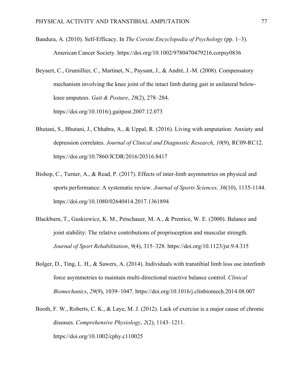- Bandura, A. (2010). Self-Efficacy. In *The Corsini Encyclopedia of Psychology* (pp. 1–3). American Cancer Society. https://doi.org/10.1002/9780470479216.corpsy0836
- Beyaert, C., Grumillier, C., Martinet, N., Paysant, J., & André, J.-M. (2008). Compensatory mechanism involving the knee joint of the intact limb during gait in unilateral belowknee amputees. *Gait & Posture*, *28*(2), 278–284. https://doi.org/10.1016/j.gaitpost.2007.12.073
- Bhutani, S., Bhutani, J., Chhabra, A., & Uppal, R. (2016). Living with amputation: Anxiety and depression correlates. *Journal of Clinical and Diagnostic Research*, *10*(9), RC09-RC12. https://doi.org/10.7860/JCDR/2016/20316.8417
- Bishop, C., Turner, A., & Read, P. (2017). Effects of inter-limb asymmetries on physical and sports performance: A systematic review. *Journal of Sports Sciences, 36*(10), 1135-1144. https://doi.org/10.1080/02640414.2017.1361894
- Blackburn, T., Guskiewicz, K. M., Petschauer, M. A., & Prentice, W. E. (2000). Balance and joint stability: The relative contributions of proprioception and muscular strength. *Journal of Sport Rehabilitation*, *9*(4), 315–328. https://doi.org/10.1123/jsr.9.4.315
- Bolger, D., Ting, L. H., & Sawers, A. (2014). Individuals with transtibial limb loss use interlimb force asymmetries to maintain multi-directional reactive balance control. *Clinical Biomechanics*, *29*(9), 1039–1047. https://doi.org/10.1016/j.clinbiomech.2014.08.007
- Booth, F. W., Roberts, C. K., & Laye, M. J. (2012). Lack of exercise is a major cause of chronic diseases. *Comprehensive Physiology*, *2*(2), 1143–1211. https://doi.org/10.1002/cphy.c110025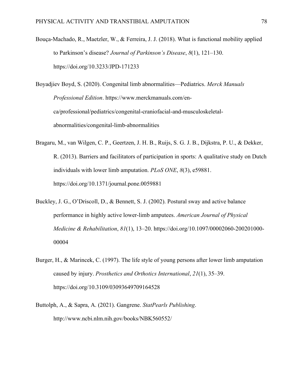Bouça-Machado, R., Maetzler, W., & Ferreira, J. J. (2018). What is functional mobility applied to Parkinson's disease? *Journal of Parkinson's Disease*, *8*(1), 121–130. https://doi.org/10.3233/JPD-171233

Boyadjiev Boyd, S. (2020). Congenital limb abnormalities—Pediatrics. *Merck Manuals Professional Edition*. https://www.merckmanuals.com/enca/professional/pediatrics/congenital-craniofacial-and-musculoskeletalabnormalities/congenital-limb-abnormalities

Bragaru, M., van Wilgen, C. P., Geertzen, J. H. B., Ruijs, S. G. J. B., Dijkstra, P. U., & Dekker, R. (2013). Barriers and facilitators of participation in sports: A qualitative study on Dutch individuals with lower limb amputation. *PLoS ONE*, *8*(3), e59881. https://doi.org/10.1371/journal.pone.0059881

- Buckley, J. G., O'Driscoll, D., & Bennett, S. J. (2002). Postural sway and active balance performance in highly active lower-limb amputees. *American Journal of Physical Medicine & Rehabilitation*, *81*(1), 13–20. https://doi.org/10.1097/00002060-200201000- 00004
- Burger, H., & Marincek, C. (1997). The life style of young persons after lower limb amputation caused by injury. *Prosthetics and Orthotics International*, *21*(1), 35–39. https://doi.org/10.3109/03093649709164528
- Buttolph, A., & Sapra, A. (2021). Gangrene. *StatPearls Publishing*. http://www.ncbi.nlm.nih.gov/books/NBK560552/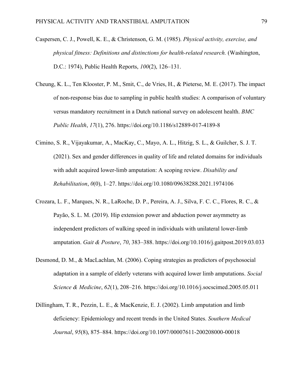- Caspersen, C. J., Powell, K. E., & Christenson, G. M. (1985). *Physical activity, exercise, and physical fitness: Definitions and distinctions for health-related research.* (Washington, D.C.: 1974), Public Health Reports, *100*(2), 126–131.
- Cheung, K. L., Ten Klooster, P. M., Smit, C., de Vries, H., & Pieterse, M. E. (2017). The impact of non-response bias due to sampling in public health studies: A comparison of voluntary versus mandatory recruitment in a Dutch national survey on adolescent health. *BMC Public Health*, *17*(1), 276. https://doi.org/10.1186/s12889-017-4189-8
- Cimino, S. R., Vijayakumar, A., MacKay, C., Mayo, A. L., Hitzig, S. L., & Guilcher, S. J. T. (2021). Sex and gender differences in quality of life and related domains for individuals with adult acquired lower-limb amputation: A scoping review. *Disability and Rehabilitation*, *0*(0), 1–27. https://doi.org/10.1080/09638288.2021.1974106
- Crozara, L. F., Marques, N. R., LaRoche, D. P., Pereira, A. J., Silva, F. C. C., Flores, R. C., & Payão, S. L. M. (2019). Hip extension power and abduction power asymmetry as independent predictors of walking speed in individuals with unilateral lower-limb amputation. *Gait & Posture*, *70*, 383–388. https://doi.org/10.1016/j.gaitpost.2019.03.033
- Desmond, D. M., & MacLachlan, M. (2006). Coping strategies as predictors of psychosocial adaptation in a sample of elderly veterans with acquired lower limb amputations. *Social Science & Medicine*, *62*(1), 208–216. https://doi.org/10.1016/j.socscimed.2005.05.011
- Dillingham, T. R., Pezzin, L. E., & MacKenzie, E. J. (2002). Limb amputation and limb deficiency: Epidemiology and recent trends in the United States. *Southern Medical Journal*, *95*(8), 875–884. https://doi.org/10.1097/00007611-200208000-00018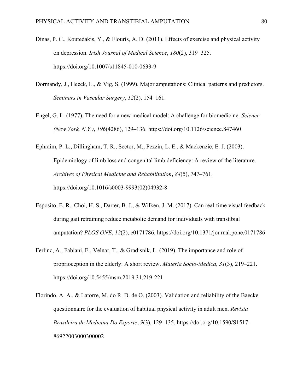- Dinas, P. C., Koutedakis, Y., & Flouris, A. D. (2011). Effects of exercise and physical activity on depression. *Irish Journal of Medical Science*, *180*(2), 319–325. https://doi.org/10.1007/s11845-010-0633-9
- Dormandy, J., Heeck, L., & Vig, S. (1999). Major amputations: Clinical patterns and predictors. *Seminars in Vascular Surgery*, *12*(2), 154–161.
- Engel, G. L. (1977). The need for a new medical model: A challenge for biomedicine. *Science (New York, N.Y.)*, *196*(4286), 129–136. https://doi.org/10.1126/science.847460
- Ephraim, P. L., Dillingham, T. R., Sector, M., Pezzin, L. E., & Mackenzie, E. J. (2003). Epidemiology of limb loss and congenital limb deficiency: A review of the literature. *Archives of Physical Medicine and Rehabilitation*, *84*(5), 747–761. https://doi.org/10.1016/s0003-9993(02)04932-8
- Esposito, E. R., Choi, H. S., Darter, B. J., & Wilken, J. M. (2017). Can real-time visual feedback during gait retraining reduce metabolic demand for individuals with transtibial amputation? *PLOS ONE*, *12*(2), e0171786. https://doi.org/10.1371/journal.pone.0171786
- Ferlinc, A., Fabiani, E., Velnar, T., & Gradisnik, L. (2019). The importance and role of proprioception in the elderly: A short review. *Materia Socio-Medica*, *31*(3), 219–221. https://doi.org/10.5455/msm.2019.31.219-221
- Florindo, A. A., & Latorre, M. do R. D. de O. (2003). Validation and reliability of the Baecke questionnaire for the evaluation of habitual physical activity in adult men. *Revista Brasileira de Medicina Do Esporte*, *9*(3), 129–135. https://doi.org/10.1590/S1517- 86922003000300002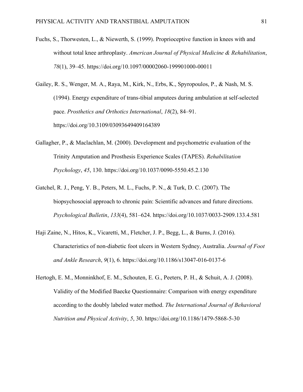- Fuchs, S., Thorwesten, L., & Niewerth, S. (1999). Proprioceptive function in knees with and without total knee arthroplasty. *American Journal of Physical Medicine & Rehabilitation*, *78*(1), 39–45. https://doi.org/10.1097/00002060-199901000-00011
- Gailey, R. S., Wenger, M. A., Raya, M., Kirk, N., Erbs, K., Spyropoulos, P., & Nash, M. S. (1994). Energy expenditure of trans-tibial amputees during ambulation at self-selected pace. *Prosthetics and Orthotics International*, *18*(2), 84–91. https://doi.org/10.3109/03093649409164389
- Gallagher, P., & Maclachlan, M. (2000). Development and psychometric evaluation of the Trinity Amputation and Prosthesis Experience Scales (TAPES). *Rehabilitation Psychology*, *45*, 130. https://doi.org/10.1037/0090-5550.45.2.130
- Gatchel, R. J., Peng, Y. B., Peters, M. L., Fuchs, P. N., & Turk, D. C. (2007). The biopsychosocial approach to chronic pain: Scientific advances and future directions. *Psychological Bulletin*, *133*(4), 581–624. https://doi.org/10.1037/0033-2909.133.4.581
- Haji Zaine, N., Hitos, K., Vicaretti, M., Fletcher, J. P., Begg, L., & Burns, J. (2016). Characteristics of non-diabetic foot ulcers in Western Sydney, Australia. *Journal of Foot and Ankle Research*, *9*(1), 6. https://doi.org/10.1186/s13047-016-0137-6
- Hertogh, E. M., Monninkhof, E. M., Schouten, E. G., Peeters, P. H., & Schuit, A. J. (2008). Validity of the Modified Baecke Questionnaire: Comparison with energy expenditure according to the doubly labeled water method. *The International Journal of Behavioral Nutrition and Physical Activity*, *5*, 30. https://doi.org/10.1186/1479-5868-5-30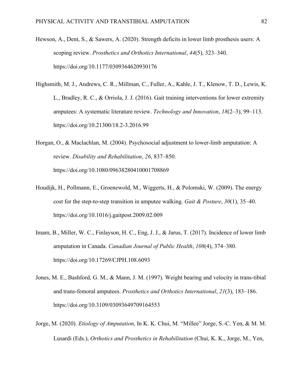- Hewson, A., Dent, S., & Sawers, A. (2020). Strength deficits in lower limb prosthesis users: A scoping review. *Prosthetics and Orthotics International*, *44*(5), 323–340. https://doi.org/10.1177/0309364620930176
- Highsmith, M. J., Andrews, C. R., Millman, C., Fuller, A., Kahle, J. T., Klenow, T. D., Lewis, K. L., Bradley, R. C., & Orriola, J. J. (2016). Gait training interventions for lower extremity amputees: A systematic literature review. *Technology and Innovation*, *18*(2–3), 99–113. https://doi.org/10.21300/18.2-3.2016.99
- Horgan, O., & Maclachlan, M. (2004). Psychosocial adjustment to lower-limb amputation: A review. *Disability and Rehabilitation*, *26*, 837–850. https://doi.org/10.1080/09638280410001708869
- Houdijk, H., Pollmann, E., Groenewold, M., Wiggerts, H., & Polomski, W. (2009). The energy cost for the step-to-step transition in amputee walking. *Gait & Posture*, *30*(1), 35–40. https://doi.org/10.1016/j.gaitpost.2009.02.009
- Imam, B., Miller, W. C., Finlayson, H. C., Eng, J. J., & Jarus, T. (2017). Incidence of lower limb amputation in Canada. *Canadian Journal of Public Health*, *108*(4), 374–380. https://doi.org/10.17269/CJPH.108.6093
- Jones, M. E., Bashford, G. M., & Mann, J. M. (1997). Weight bearing and velocity in trans-tibial and trans-femoral amputees. *Prosthetics and Orthotics International*, *21*(3), 183–186. https://doi.org/10.3109/03093649709164553
- Jorge, M. (2020). *Etiology of Amputation*, In K. K. Chui, M. "Millee" Jorge, S.-C. Yen, & M. M. Lusardi (Eds.), *Orthotics and Prosthetics in Rehabilitation* (Chui, K. K., Jorge, M., Yen,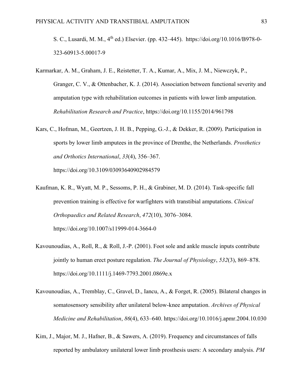S. C., Lusardi, M. M., 4<sup>th</sup> ed.) Elsevier. (pp. 432–445). https://doi.org/10.1016/B978-0-323-60913-5.00017-9

- Karmarkar, A. M., Graham, J. E., Reistetter, T. A., Kumar, A., Mix, J. M., Niewczyk, P., Granger, C. V., & Ottenbacher, K. J. (2014). Association between functional severity and amputation type with rehabilitation outcomes in patients with lower limb amputation. *Rehabilitation Research and Practice*, https://doi.org/10.1155/2014/961798
- Kars, C., Hofman, M., Geertzen, J. H. B., Pepping, G.-J., & Dekker, R. (2009). Participation in sports by lower limb amputees in the province of Drenthe, the Netherlands. *Prosthetics and Orthotics International*, *33*(4), 356–367. https://doi.org/10.3109/03093640902984579
- Kaufman, K. R., Wyatt, M. P., Sessoms, P. H., & Grabiner, M. D. (2014). Task-specific fall prevention training is effective for warfighters with transtibial amputations. *Clinical Orthopaedics and Related Research*, *472*(10), 3076–3084. https://doi.org/10.1007/s11999-014-3664-0
- Kavounoudias, A., Roll, R., & Roll, J.-P. (2001). Foot sole and ankle muscle inputs contribute jointly to human erect posture regulation. *The Journal of Physiology*, *532*(3), 869–878. https://doi.org/10.1111/j.1469-7793.2001.0869e.x
- Kavounoudias, A., Tremblay, C., Gravel, D., Iancu, A., & Forget, R. (2005). Bilateral changes in somatosensory sensibility after unilateral below-knee amputation. *Archives of Physical Medicine and Rehabilitation*, *86*(4), 633–640. https://doi.org/10.1016/j.apmr.2004.10.030
- Kim, J., Major, M. J., Hafner, B., & Sawers, A. (2019). Frequency and circumstances of falls reported by ambulatory unilateral lower limb prosthesis users: A secondary analysis. *PM*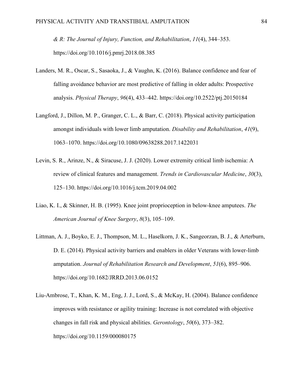*& R: The Journal of Injury, Function, and Rehabilitation*, *11*(4), 344–353. https://doi.org/10.1016/j.pmrj.2018.08.385

- Landers, M. R., Oscar, S., Sasaoka, J., & Vaughn, K. (2016). Balance confidence and fear of falling avoidance behavior are most predictive of falling in older adults: Prospective analysis. *Physical Therapy*, *96*(4), 433–442. https://doi.org/10.2522/ptj.20150184
- Langford, J., Dillon, M. P., Granger, C. L., & Barr, C. (2018). Physical activity participation amongst individuals with lower limb amputation. *Disability and Rehabilitation*, *41*(9), 1063–1070. https://doi.org/10.1080/09638288.2017.1422031
- Levin, S. R., Arinze, N., & Siracuse, J. J. (2020). Lower extremity critical limb ischemia: A review of clinical features and management. *Trends in Cardiovascular Medicine*, *30*(3), 125–130. https://doi.org/10.1016/j.tcm.2019.04.002
- Liao, K. I., & Skinner, H. B. (1995). Knee joint proprioception in below-knee amputees. *The American Journal of Knee Surgery*, *8*(3), 105–109.
- Littman, A. J., Boyko, E. J., Thompson, M. L., Haselkorn, J. K., Sangeorzan, B. J., & Arterburn, D. E. (2014). Physical activity barriers and enablers in older Veterans with lower-limb amputation. *Journal of Rehabilitation Research and Development*, *51*(6), 895–906. https://doi.org/10.1682/JRRD.2013.06.0152
- Liu-Ambrose, T., Khan, K. M., Eng, J. J., Lord, S., & McKay, H. (2004). Balance confidence improves with resistance or agility training: Increase is not correlated with objective changes in fall risk and physical abilities. *Gerontology*, *50*(6), 373–382. https://doi.org/10.1159/000080175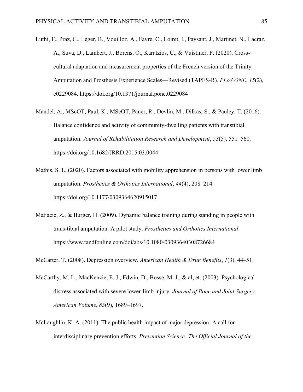- Luthi, F., Praz, C., Léger, B., Vouilloz, A., Favre, C., Loiret, I., Paysant, J., Martinet, N., Lacraz, A., Suva, D., Lambert, J., Borens, O., Karatzios, C., & Vuistiner, P. (2020). Crosscultural adaptation and measurement properties of the French version of the Trinity Amputation and Prosthesis Experience Scales—Revised (TAPES-R). *PLoS ONE*, *15*(2), e0229084. https://doi.org/10.1371/journal.pone.0229084
- Mandel, A., MScOT, Paul, K., MScOT, Paner, R., Devlin, M., Dilkas, S., & Pauley, T. (2016). Balance confidence and activity of community-dwelling patients with transtibial amputation. *Journal of Rehabilitation Research and Development*, *53*(5), 551–560. https://doi.org/10.1682/JRRD.2015.03.0044
- Mathis, S. L. (2020). Factors associated with mobility apprehension in persons with lower limb amputation. *Prosthetics & Orthotics International*, *44*(4), 208–214. https://doi.org/10.1177/0309364620915017
- Matjacić, Z., & Burger, H. (2009). Dynamic balance training during standing in people with trans‐tibial amputation: A pilot study. *Prosthetics and Orthotics International*. https://www.tandfonline.com/doi/abs/10.1080/03093640308726684

McCarter, T. (2008). Depression overview. *American Health & Drug Benefits*, *1*(3), 44–51.

- McCarthy, M. L., MacKenzie, E. J., Edwin, D., Bosse, M. J., & al, et. (2003). Psychological distress associated with severe lower-limb injury. *Journal of Bone and Joint Surgery, American Volume*, *85*(9), 1689–1697.
- McLaughlin, K. A. (2011). The public health impact of major depression: A call for interdisciplinary prevention efforts. *Prevention Science: The Official Journal of the*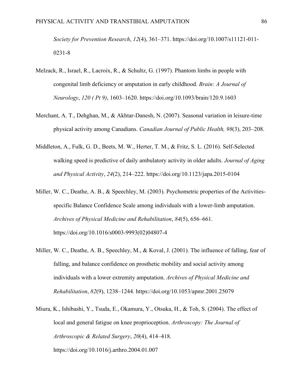*Society for Prevention Research*, *12*(4), 361–371. https://doi.org/10.1007/s11121-011- 0231-8

- Melzack, R., Israel, R., Lacroix, R., & Schultz, G. (1997). Phantom limbs in people with congenital limb deficiency or amputation in early childhood. *Brain: A Journal of Neurology*, *120 ( Pt 9)*, 1603–1620. https://doi.org/10.1093/brain/120.9.1603
- Merchant, A. T., Dehghan, M., & Akhtar-Danesh, N. (2007). Seasonal variation in leisure-time physical activity among Canadians. *Canadian Journal of Public Health, 98*(3), 203–208.
- Middleton, A., Fulk, G. D., Beets, M. W., Herter, T. M., & Fritz, S. L. (2016). Self-Selected walking speed is predictive of daily ambulatory activity in older adults. *Journal of Aging and Physical Activity*, *24*(2), 214–222. https://doi.org/10.1123/japa.2015-0104
- Miller, W. C., Deathe, A. B., & Speechley, M. (2003). Psychometric properties of the Activitiesspecific Balance Confidence Scale among individuals with a lower-limb amputation. *Archives of Physical Medicine and Rehabilitation*, *84*(5), 656–661. https://doi.org/10.1016/s0003-9993(02)04807-4
- Miller, W. C., Deathe, A. B., Speechley, M., & Koval, J. (2001). The influence of falling, fear of falling, and balance confidence on prosthetic mobility and social activity among individuals with a lower extremity amputation. *Archives of Physical Medicine and Rehabilitation*, *82*(9), 1238–1244. https://doi.org/10.1053/apmr.2001.25079
- Miura, K., Ishibashi, Y., Tsuda, E., Okamura, Y., Otsuka, H., & Toh, S. (2004). The effect of local and general fatigue on knee proprioception. *Arthroscopy: The Journal of Arthroscopic & Related Surgery*, *20*(4), 414–418. https://doi.org/10.1016/j.arthro.2004.01.007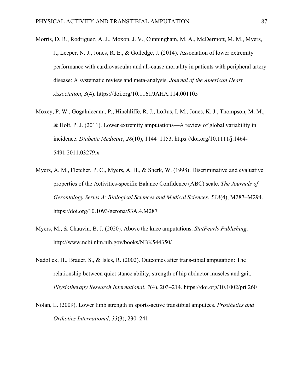- Morris, D. R., Rodriguez, A. J., Moxon, J. V., Cunningham, M. A., McDermott, M. M., Myers, J., Leeper, N. J., Jones, R. E., & Golledge, J. (2014). Association of lower extremity performance with cardiovascular and all-cause mortality in patients with peripheral artery disease: A systematic review and meta-analysis. *Journal of the American Heart Association*, *3*(4). https://doi.org/10.1161/JAHA.114.001105
- Moxey, P. W., Gogalniceanu, P., Hinchliffe, R. J., Loftus, I. M., Jones, K. J., Thompson, M. M., & Holt, P. J. (2011). Lower extremity amputations—A review of global variability in incidence. *Diabetic Medicine*, *28*(10), 1144–1153. https://doi.org/10.1111/j.1464- 5491.2011.03279.x
- Myers, A. M., Fletcher, P. C., Myers, A. H., & Sherk, W. (1998). Discriminative and evaluative properties of the Activities-specific Balance Confidence (ABC) scale. *The Journals of Gerontology Series A: Biological Sciences and Medical Sciences*, *53A*(4), M287–M294. https://doi.org/10.1093/gerona/53A.4.M287
- Myers, M., & Chauvin, B. J. (2020). Above the knee amputations. *StatPearls Publishing*. http://www.ncbi.nlm.nih.gov/books/NBK544350/
- Nadollek, H., Brauer, S., & Isles, R. (2002). Outcomes after trans-tibial amputation: The relationship between quiet stance ability, strength of hip abductor muscles and gait. *Physiotherapy Research International*, *7*(4), 203–214. https://doi.org/10.1002/pri.260
- Nolan, L. (2009). Lower limb strength in sports-active transtibial amputees. *Prosthetics and Orthotics International*, *33*(3), 230–241.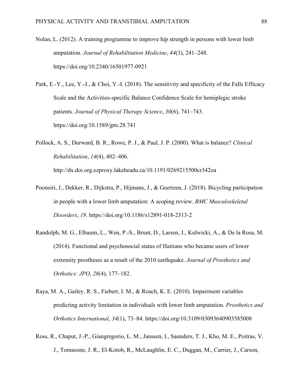- Nolan, L. (2012). A training programme to improve hip strength in persons with lower limb amputation. *Journal of Rehabilitation Medicine*, *44*(3), 241–248. https://doi.org/10.2340/16501977-0921
- Park, E.-Y., Lee, Y.-J., & Choi, Y.-I. (2018). The sensitivity and specificity of the Falls Efficacy Scale and the Activities-specific Balance Confidence Scale for hemiplegic stroke patients. *Journal of Physical Therapy Science*, *30*(6), 741–743. https://doi.org/10.1589/jpts.28.741
- Pollock, A. S., Durward, B. R., Rowe, P. J., & Paul, J. P. (2000). What is balance? *Clinical Rehabilitation*, *14*(4), 402–406. http://dx.doi.org.ezproxy.lakeheadu.ca/10.1191/0269215500cr342oa
- Poonsiri, J., Dekker, R., Dijkstra, P., Hijmans, J., & Geertzen, J. (2018). Bicycling participation in people with a lower limb amputation: A scoping review. *BMC Musculoskeletal Disorders*, *19*. https://doi.org/10.1186/s12891-018-2313-2
- Randolph, M. G., Elbaum, L., Wen, P.-S., Brunt, D., Larsen, J., Kulwicki, A., & De la Rosa, M. (2014). Functional and psychosocial status of Haitians who became users of lower extremity prostheses as a result of the 2010 earthquake. *Journal of Prosthetics and Orthotics: JPO*, *26*(4), 177–182.
- Raya, M. A., Gailey, R. S., Fiebert, I. M., & Roach, K. E. (2010). Impairment variables predicting activity limitation in individuals with lower limb amputation. *Prosthetics and Orthotics International*, *34*(1), 73–84. https://doi.org/10.3109/03093640903585008
- Ross, R., Chaput, J.-P., Giangregorio, L. M., Janssen, I., Saunders, T. J., Kho, M. E., Poitras, V. J., Tomasone, J. R., El-Kotob, R., McLaughlin, E. C., Duggan, M., Carrier, J., Carson,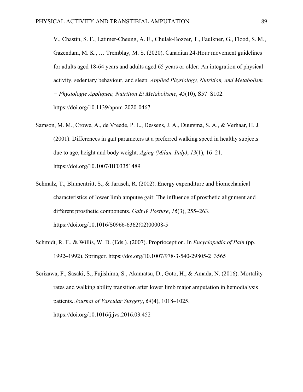V., Chastin, S. F., Latimer-Cheung, A. E., Chulak-Bozzer, T., Faulkner, G., Flood, S. M., Gazendam, M. K., … Tremblay, M. S. (2020). Canadian 24-Hour movement guidelines for adults aged 18-64 years and adults aged 65 years or older: An integration of physical activity, sedentary behaviour, and sleep. *Applied Physiology, Nutrition, and Metabolism = Physiologie Appliquee, Nutrition Et Metabolisme*, *45*(10), S57–S102. https://doi.org/10.1139/apnm-2020-0467

- Samson, M. M., Crowe, A., de Vreede, P. L., Dessens, J. A., Duursma, S. A., & Verhaar, H. J. (2001). Differences in gait parameters at a preferred walking speed in healthy subjects due to age, height and body weight. *Aging (Milan, Italy)*, *13*(1), 16–21. https://doi.org/10.1007/BF03351489
- Schmalz, T., Blumentritt, S., & Jarasch, R. (2002). Energy expenditure and biomechanical characteristics of lower limb amputee gait: The influence of prosthetic alignment and different prosthetic components. *Gait & Posture*, *16*(3), 255–263. https://doi.org/10.1016/S0966-6362(02)00008-5
- Schmidt, R. F., & Willis, W. D. (Eds.). (2007). Proprioception. In *Encyclopedia of Pain* (pp. 1992–1992). Springer. https://doi.org/10.1007/978-3-540-29805-2\_3565
- Serizawa, F., Sasaki, S., Fujishima, S., Akamatsu, D., Goto, H., & Amada, N. (2016). Mortality rates and walking ability transition after lower limb major amputation in hemodialysis patients. *Journal of Vascular Surgery*, *64*(4), 1018–1025. https://doi.org/10.1016/j.jvs.2016.03.452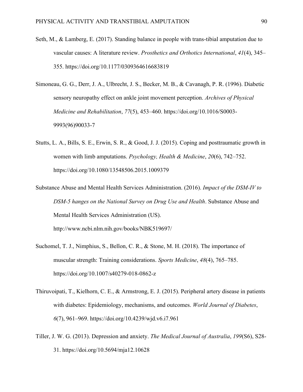- Seth, M., & Lamberg, E. (2017). Standing balance in people with trans-tibial amputation due to vascular causes: A literature review. *Prosthetics and Orthotics International*, *41*(4), 345– 355. https://doi.org/10.1177/0309364616683819
- Simoneau, G. G., Derr, J. A., Ulbrecht, J. S., Becker, M. B., & Cavanagh, P. R. (1996). Diabetic sensory neuropathy effect on ankle joint movement perception. *Archives of Physical Medicine and Rehabilitation*, *77*(5), 453–460. https://doi.org/10.1016/S0003- 9993(96)90033-7
- Stutts, L. A., Bills, S. E., Erwin, S. R., & Good, J. J. (2015). Coping and posttraumatic growth in women with limb amputations. *Psychology, Health & Medicine*, *20*(6), 742–752. https://doi.org/10.1080/13548506.2015.1009379
- Substance Abuse and Mental Health Services Administration. (2016). *Impact of the DSM-IV to DSM-5 hanges on the National Survey on Drug Use and Health*. Substance Abuse and Mental Health Services Administration (US). http://www.ncbi.nlm.nih.gov/books/NBK519697/
- Suchomel, T. J., Nimphius, S., Bellon, C. R., & Stone, M. H. (2018). The importance of muscular strength: Training considerations. *Sports Medicine*, *48*(4), 765–785. https://doi.org/10.1007/s40279-018-0862-z
- Thiruvoipati, T., Kielhorn, C. E., & Armstrong, E. J. (2015). Peripheral artery disease in patients with diabetes: Epidemiology, mechanisms, and outcomes. *World Journal of Diabetes*, *6*(7), 961–969. https://doi.org/10.4239/wjd.v6.i7.961
- Tiller, J. W. G. (2013). Depression and anxiety. *The Medical Journal of Australia*, *199*(S6), S28- 31. https://doi.org/10.5694/mja12.10628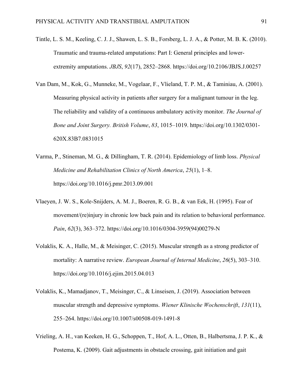- Tintle, L. S. M., Keeling, C. J. J., Shawen, L. S. B., Forsberg, L. J. A., & Potter, M. B. K. (2010). Traumatic and trauma-related amputations: Part I: General principles and lowerextremity amputations. *JBJS*, *92*(17), 2852–2868. https://doi.org/10.2106/JBJS.J.00257
- Van Dam, M., Kok, G., Munneke, M., Vogelaar, F., Vlieland, T. P. M., & Taminiau, A. (2001). Measuring physical activity in patients after surgery for a malignant tumour in the leg. The reliability and validity of a continuous ambulatory activity monitor. *The Journal of Bone and Joint Surgery. British Volume*, *83*, 1015–1019. https://doi.org/10.1302/0301- 620X.83B7.0831015
- Varma, P., Stineman, M. G., & Dillingham, T. R. (2014). Epidemiology of limb loss. *Physical Medicine and Rehabilitation Clinics of North America*, *25*(1), 1–8. https://doi.org/10.1016/j.pmr.2013.09.001
- Vlaeyen, J. W. S., Kole-Snijders, A. M. J., Boeren, R. G. B., & van Eek, H. (1995). Fear of movement/(re)injury in chronic low back pain and its relation to behavioral performance. *Pain*, *62*(3), 363–372. https://doi.org/10.1016/0304-3959(94)00279-N
- Volaklis, K. A., Halle, M., & Meisinger, C. (2015). Muscular strength as a strong predictor of mortality: A narrative review. *European Journal of Internal Medicine*, *26*(5), 303–310. https://doi.org/10.1016/j.ejim.2015.04.013
- Volaklis, K., Mamadjanov, T., Meisinger, C., & Linseisen, J. (2019). Association between muscular strength and depressive symptoms. *Wiener Klinische Wochenschrift*, *131*(11), 255–264. https://doi.org/10.1007/s00508-019-1491-8
- Vrieling, A. H., van Keeken, H. G., Schoppen, T., Hof, A. L., Otten, B., Halbertsma, J. P. K., & Postema, K. (2009). Gait adjustments in obstacle crossing, gait initiation and gait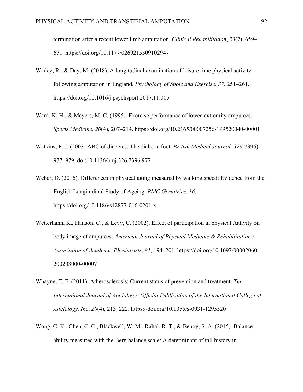termination after a recent lower limb amputation. *Clinical Rehabilitation*, *23*(7), 659– 671. https://doi.org/10.1177/0269215509102947

- Wadey, R., & Day, M. (2018). A longitudinal examination of leisure time physical activity following amputation in England. *Psychology of Sport and Exercise*, *37*, 251–261. https://doi.org/10.1016/j.psychsport.2017.11.005
- Ward, K. H., & Meyers, M. C. (1995). Exercise performance of lower-extremity amputees. *Sports Medicine*, *20*(4), 207–214. https://doi.org/10.2165/00007256-199520040-00001
- Watkins, P. J. (2003) ABC of diabetes: The diabetic foot. *British Medical Journal, 326*(7396), 977–979. doi:10.1136/bmj.326.7396.977
- Weber, D. (2016). Differences in physical aging measured by walking speed: Evidence from the English Longitudinal Study of Ageing. *BMC Geriatrics*, *16*. https://doi.org/10.1186/s12877-016-0201-x
- Wetterhahn, K., Hanson, C., & Levy, C. (2002). Effect of participation in physical Aativity on body image of amputees. *American Journal of Physical Medicine & Rehabilitation / Association of Academic Physiatrists*, *81*, 194–201. https://doi.org/10.1097/00002060- 200203000-00007
- Whayne, T. F. (2011). Atherosclerosis: Current status of prevention and treatment. *The International Journal of Angiology: Official Publication of the International College of Angiology, Inc*, *20*(4), 213–222. https://doi.org/10.1055/s-0031-1295520
- Wong, C. K., Chen, C. C., Blackwell, W. M., Rahal, R. T., & Benoy, S. A. (2015). Balance ability measured with the Berg balance scale: A determinant of fall history in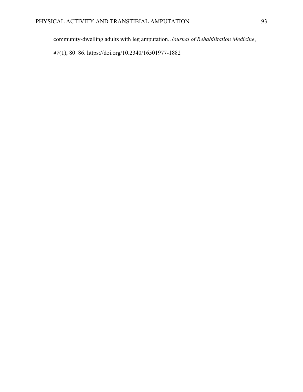community-dwelling adults with leg amputation. *Journal of Rehabilitation Medicine*,

*47*(1), 80–86. https://doi.org/10.2340/16501977-1882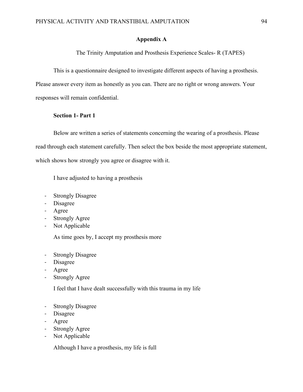### **Appendix A**

The Trinity Amputation and Prosthesis Experience Scales- R (TAPES)

This is a questionnaire designed to investigate different aspects of having a prosthesis. Please answer every item as honestly as you can. There are no right or wrong answers. Your responses will remain confidential.

### **Section 1- Part 1**

Below are written a series of statements concerning the wearing of a prosthesis. Please read through each statement carefully. Then select the box beside the most appropriate statement, which shows how strongly you agree or disagree with it.

I have adjusted to having a prosthesis

- Strongly Disagree
- Disagree
- Agree
- Strongly Agree
- Not Applicable

As time goes by, I accept my prosthesis more

- Strongly Disagree
- Disagree
- Agree
- Strongly Agree

I feel that I have dealt successfully with this trauma in my life

- Strongly Disagree
- Disagree
- Agree
- Strongly Agree
- Not Applicable

Although I have a prosthesis, my life is full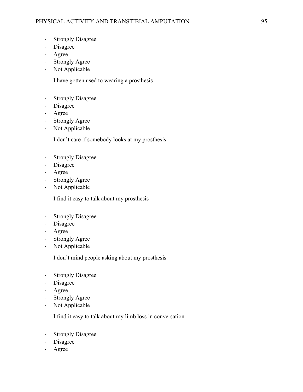- Strongly Disagree
- Disagree
- Agree
- Strongly Agree
- Not Applicable

I have gotten used to wearing a prosthesis

- Strongly Disagree
- Disagree
- Agree
- Strongly Agree
- Not Applicable

I don't care if somebody looks at my prosthesis

- Strongly Disagree
- Disagree
- Agree
- Strongly Agree
- Not Applicable

I find it easy to talk about my prosthesis

- Strongly Disagree
- Disagree
- Agree
- Strongly Agree
- Not Applicable

I don't mind people asking about my prosthesis

- Strongly Disagree
- Disagree
- Agree
- Strongly Agree
- Not Applicable

I find it easy to talk about my limb loss in conversation

- Strongly Disagree
- Disagree
- Agree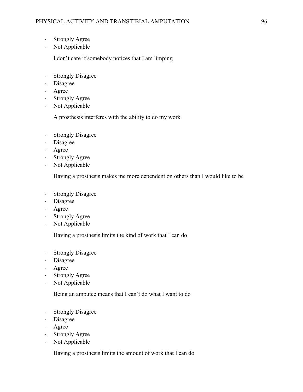- Strongly Agree
- Not Applicable

I don't care if somebody notices that I am limping

- Strongly Disagree
- Disagree
- Agree
- Strongly Agree
- Not Applicable

A prosthesis interferes with the ability to do my work

- Strongly Disagree
- Disagree
- Agree
- Strongly Agree
- Not Applicable

Having a prosthesis makes me more dependent on others than I would like to be

- Strongly Disagree
- Disagree
- Agree
- Strongly Agree
- Not Applicable

Having a prosthesis limits the kind of work that I can do

- Strongly Disagree
- Disagree
- Agree
- Strongly Agree
- Not Applicable

Being an amputee means that I can't do what I want to do

- Strongly Disagree
- Disagree
- Agree
- Strongly Agree
- Not Applicable

Having a prosthesis limits the amount of work that I can do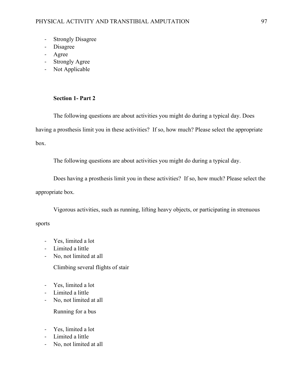- Strongly Disagree
- Disagree
- Agree
- Strongly Agree
- Not Applicable

### **Section 1- Part 2**

The following questions are about activities you might do during a typical day. Does having a prosthesis limit you in these activities? If so, how much? Please select the appropriate box.

The following questions are about activities you might do during a typical day.

Does having a prosthesis limit you in these activities? If so, how much? Please select the appropriate box.

Vigorous activities, such as running, lifting heavy objects, or participating in strenuous

sports

- Yes, limited a lot
- Limited a little
- No, not limited at all
	- Climbing several flights of stair
- Yes, limited a lot
- Limited a little
- No, not limited at all

Running for a bus

- Yes, limited a lot
- Limited a little
- No, not limited at all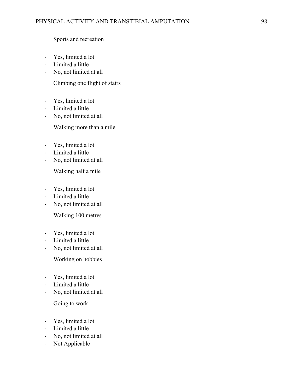Sports and recreation

- Yes, limited a lot
- Limited a little
- No, not limited at all

Climbing one flight of stairs

- Yes, limited a lot
- Limited a little
- No, not limited at all

Walking more than a mile

- Yes, limited a lot
- Limited a little
- No, not limited at all

Walking half a mile

- Yes, limited a lot
- Limited a little
- No, not limited at all

Walking 100 metres

- Yes, limited a lot
- Limited a little
- No, not limited at all

Working on hobbies

- Yes, limited a lot
- Limited a little
- No, not limited at all

Going to work

- Yes, limited a lot
- Limited a little
- No, not limited at all
- Not Applicable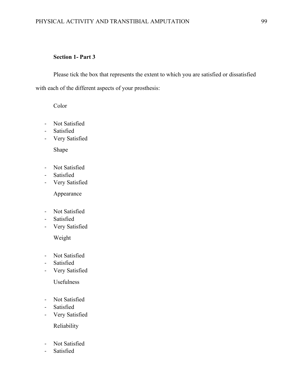## **Section 1- Part 3**

Please tick the box that represents the extent to which you are satisfied or dissatisfied with each of the different aspects of your prosthesis:

Color

- Not Satisfied
- Satisfied
- Very Satisfied

Shape

- Not Satisfied
- Satisfied
- Very Satisfied

Appearance

- Not Satisfied
- Satisfied
- Very Satisfied

Weight

- Not Satisfied
- Satisfied
- Very Satisfied

Usefulness

- Not Satisfied
- Satisfied
- Very Satisfied

Reliability

- Not Satisfied
- Satisfied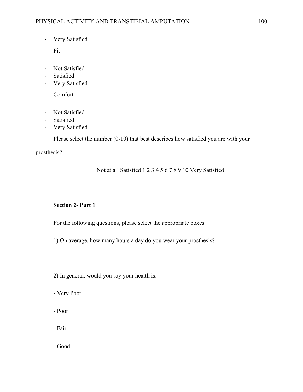- Very Satisfied

Fit

- Not Satisfied
- Satisfied
- Very Satisfied

Comfort

- Not Satisfied
- Satisfied
- Very Satisfied

Please select the number (0-10) that best describes how satisfied you are with your

prosthesis?

Not at all Satisfied 1 2 3 4 5 6 7 8 9 10 Very Satisfied

# **Section 2- Part 1**

For the following questions, please select the appropriate boxes

1) On average, how many hours a day do you wear your prosthesis?

2) In general, would you say your health is:

- Very Poor

- Poor

- Fair

- Good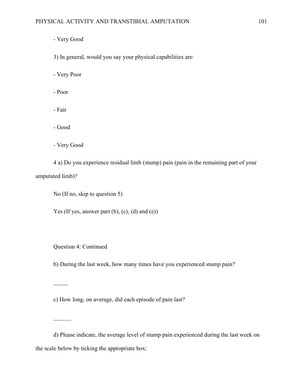- Very Good

3) In general, would you say your physical capabilities are:

- Very Poor

- Poor

- Fair

- Good

- Very Good

4 a) Do you experience residual limb (stump) pain (pain in the remaining part of your amputated limb)?

No (If no, skip to question 5)

Yes (If yes, answer part (b), (c), (d) and (e))

Question 4: Continued

b) During the last week, how many times have you experienced stump pain?

c) How long, on average, did each episode of pain last?

d) Please indicate, the average level of stump pain experienced during the last week on the scale below by ticking the appropriate box: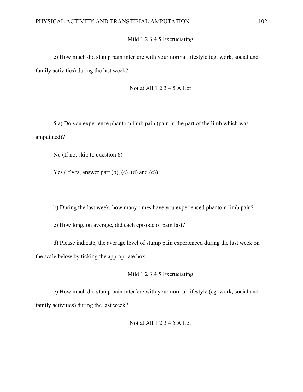## Mild 1 2 3 4 5 Excruciating

e) How much did stump pain interfere with your normal lifestyle (eg. work, social and family activities) during the last week?

Not at All 1 2 3 4 5 A Lot

5 a) Do you experience phantom limb pain (pain in the part of the limb which was amputated)?

No (If no, skip to question 6)

Yes (If yes, answer part  $(b)$ ,  $(c)$ ,  $(d)$  and  $(e)$ )

b) During the last week, how many times have you experienced phantom limb pain?

c) How long, on average, did each episode of pain last?

d) Please indicate, the average level of stump pain experienced during the last week on the scale below by ticking the appropriate box:

### Mild 1 2 3 4 5 Excruciating

e) How much did stump pain interfere with your normal lifestyle (eg. work, social and family activities) during the last week?

#### Not at All 1 2 3 4 5 A Lot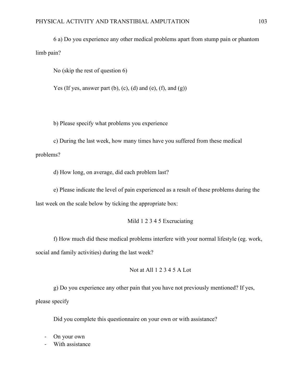6 a) Do you experience any other medical problems apart from stump pain or phantom limb pain?

No (skip the rest of question 6)

Yes (If yes, answer part  $(b)$ ,  $(c)$ ,  $(d)$  and  $(e)$ ,  $(f)$ , and  $(g)$ )

b) Please specify what problems you experience

c) During the last week, how many times have you suffered from these medical problems?

d) How long, on average, did each problem last?

e) Please indicate the level of pain experienced as a result of these problems during the last week on the scale below by ticking the appropriate box:

Mild 1 2 3 4 5 Excruciating

f) How much did these medical problems interfere with your normal lifestyle (eg. work, social and family activities) during the last week?

Not at All 1 2 3 4 5 A Lot

g) Do you experience any other pain that you have not previously mentioned? If yes, please specify

Did you complete this questionnaire on your own or with assistance?

- On your own
- With assistance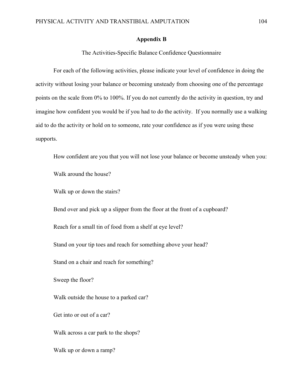#### **Appendix B**

The Activities-Specific Balance Confidence Questionnaire

For each of the following activities, please indicate your level of confidence in doing the activity without losing your balance or becoming unsteady from choosing one of the percentage points on the scale from 0% to 100%. If you do not currently do the activity in question, try and imagine how confident you would be if you had to do the activity. If you normally use a walking aid to do the activity or hold on to someone, rate your confidence as if you were using these supports.

How confident are you that you will not lose your balance or become unsteady when you:

Walk around the house?

Walk up or down the stairs?

Bend over and pick up a slipper from the floor at the front of a cupboard?

Reach for a small tin of food from a shelf at eye level?

Stand on your tip toes and reach for something above your head?

Stand on a chair and reach for something?

Sweep the floor?

Walk outside the house to a parked car?

Get into or out of a car?

Walk across a car park to the shops?

Walk up or down a ramp?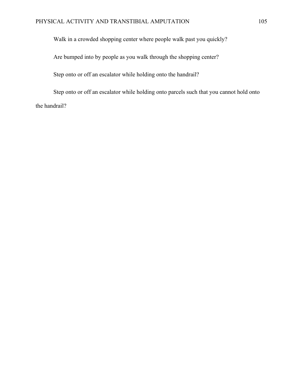Walk in a crowded shopping center where people walk past you quickly?

Are bumped into by people as you walk through the shopping center?

Step onto or off an escalator while holding onto the handrail?

Step onto or off an escalator while holding onto parcels such that you cannot hold onto the handrail?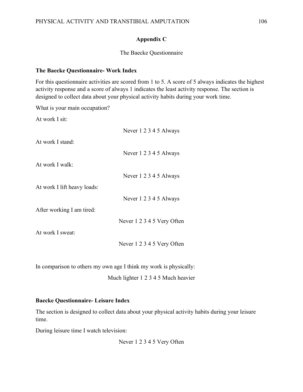# **Appendix C**

# The Baecke Questionnaire

## **The Baecke Questionnaire- Work Index**

For this questionnaire activities are scored from 1 to 5. A score of 5 always indicates the highest activity response and a score of always 1 indicates the least activity response. The section is designed to collect data about your physical activity habits during your work time.

What is your main occupation?

At work I sit:

|                             | Never 1 2 3 4 5 Always     |
|-----------------------------|----------------------------|
| At work I stand:            |                            |
|                             | Never 1 2 3 4 5 Always     |
| At work I walk:             |                            |
|                             | Never 1 2 3 4 5 Always     |
| At work I lift heavy loads: |                            |
|                             | Never 1 2 3 4 5 Always     |
| After working I am tired:   |                            |
|                             | Never 1 2 3 4 5 Very Often |
| At work I sweat:            |                            |
|                             | Never 1 2 3 4 5 Very Often |

In comparison to others my own age I think my work is physically:

Much lighter 1 2 3 4 5 Much heavier

# **Baecke Questionnaire- Leisure Index**

The section is designed to collect data about your physical activity habits during your leisure time.

During leisure time I watch television:

Never 1 2 3 4 5 Very Often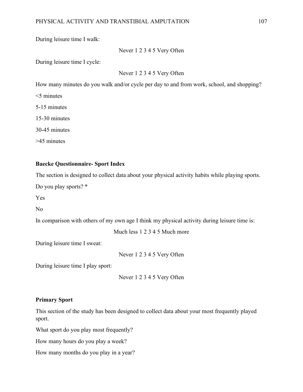During leisure time I walk:

Never 1 2 3 4 5 Very Often

During leisure time I cycle:

Never 1 2 3 4 5 Very Often

How many minutes do you walk and/or cycle per day to and from work, school, and shopping?

<5 minutes

5-15 minutes

15-30 minutes

30-45 minutes

>45 minutes

### **Baecke Questionnaire- Sport Index**

The section is designed to collect data about your physical activity habits while playing sports.

Do you play sports? \*

Yes

No

In comparison with others of my own age I think my physical activity during leisure time is:

Much less 1 2 3 4 5 Much more

During leisure time I sweat:

Never 1 2 3 4 5 Very Often

During leisure time I play sport:

Never 1 2 3 4 5 Very Often

### **Primary Sport**

This section of the study has been designed to collect data about your most frequently played sport.

What sport do you play most frequently?

How many hours do you play a week?

How many months do you play in a year?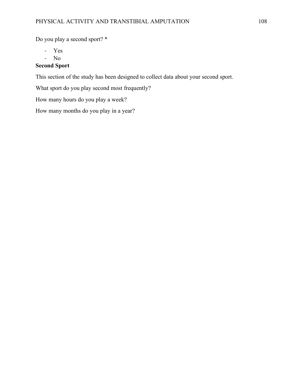Do you play a second sport? \*

- Yes

- No

### **Second Sport**

This section of the study has been designed to collect data about your second sport.

What sport do you play second most frequently?

How many hours do you play a week?

How many months do you play in a year?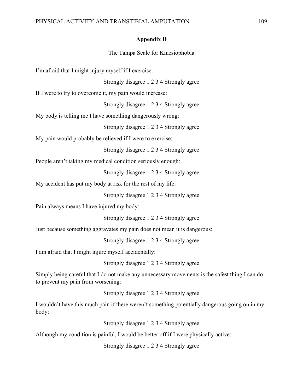#### **Appendix D**

The Tampa Scale for Kinesiophobia

I'm afraid that I might injury myself if I exercise:

Strongly disagree 1 2 3 4 Strongly agree

If I were to try to overcome it, my pain would increase:

Strongly disagree 1 2 3 4 Strongly agree

My body is telling me I have something dangerously wrong:

Strongly disagree 1 2 3 4 Strongly agree

My pain would probably be relieved if I were to exercise:

Strongly disagree 1 2 3 4 Strongly agree

People aren't taking my medical condition seriously enough:

Strongly disagree 1 2 3 4 Strongly agree

My accident has put my body at risk for the rest of my life:

Strongly disagree 1 2 3 4 Strongly agree

Pain always means I have injured my body:

Strongly disagree 1 2 3 4 Strongly agree

Just because something aggravates my pain does not mean it is dangerous:

Strongly disagree 1 2 3 4 Strongly agree

I am afraid that I might injure myself accidentally:

Strongly disagree 1 2 3 4 Strongly agree

Simply being careful that I do not make any unnecessary movements is the safest thing I can do to prevent my pain from worsening:

Strongly disagree 1 2 3 4 Strongly agree

I wouldn't have this much pain if there weren't something potentially dangerous going on in my body:

Strongly disagree 1 2 3 4 Strongly agree

Although my condition is painful, I would be better off if I were physically active:

Strongly disagree 1 2 3 4 Strongly agree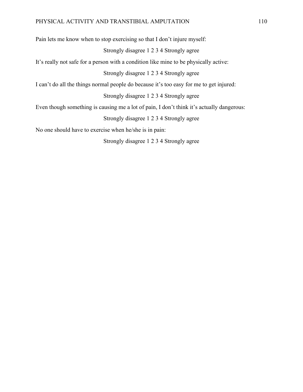Pain lets me know when to stop exercising so that I don't injure myself:

## Strongly disagree 1 2 3 4 Strongly agree

It's really not safe for a person with a condition like mine to be physically active:

Strongly disagree 1 2 3 4 Strongly agree

I can't do all the things normal people do because it's too easy for me to get injured:

Strongly disagree 1 2 3 4 Strongly agree

Even though something is causing me a lot of pain, I don't think it's actually dangerous:

Strongly disagree 1 2 3 4 Strongly agree

No one should have to exercise when he/she is in pain:

Strongly disagree 1 2 3 4 Strongly agree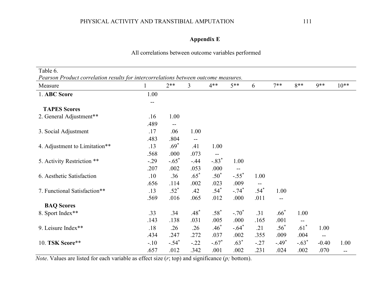# **Appendix E**

# All correlations between outcome variables performed

| Table 6.<br>Pearson Product correlation results for intercorrelations between outcome measures. |        |         |        |         |                     |        |         |         |         |        |
|-------------------------------------------------------------------------------------------------|--------|---------|--------|---------|---------------------|--------|---------|---------|---------|--------|
| Measure                                                                                         |        | $2**$   | 3      | $4**$   | $5**$               | 6      | $7**$   | $8**$   | $9**$   | $10**$ |
| 1. ABC Score                                                                                    | 1.00   |         |        |         |                     |        |         |         |         |        |
|                                                                                                 | --     |         |        |         |                     |        |         |         |         |        |
| <b>TAPES Scores</b>                                                                             |        |         |        |         |                     |        |         |         |         |        |
| 2. General Adjustment**                                                                         | .16    | 1.00    |        |         |                     |        |         |         |         |        |
|                                                                                                 | .489   | --      |        |         |                     |        |         |         |         |        |
| 3. Social Adjustment                                                                            | .17    | .06     | 1.00   |         |                     |        |         |         |         |        |
|                                                                                                 | .483   | .804    | --     |         |                     |        |         |         |         |        |
| 4. Adjustment to Limitation**                                                                   | .13    | $.69*$  | .41    | 1.00    |                     |        |         |         |         |        |
|                                                                                                 | .568   | .000    | .073   |         |                     |        |         |         |         |        |
| 5. Activity Restriction **                                                                      | $-.29$ | $-.65*$ | $-.44$ | $-.83*$ | 1.00                |        |         |         |         |        |
|                                                                                                 | .207   | .002    | .053   | .000    |                     |        |         |         |         |        |
| 6. Aesthetic Satisfaction                                                                       | .10    | .36     | $.65*$ | $.50*$  | $-.55$ <sup>*</sup> | 1.00   |         |         |         |        |
|                                                                                                 | .656   | .114    | .002   | .023    | .009                |        |         |         |         |        |
| 7. Functional Satisfaction**                                                                    | .13    | $.52*$  | .42    | $.54*$  | $-.74$ <sup>*</sup> | $.54*$ | 1.00    |         |         |        |
|                                                                                                 | .569   | .016    | .065   | .012    | .000                | .011   | --      |         |         |        |
| <b>BAQ Scores</b>                                                                               |        |         |        |         |                     |        |         |         |         |        |
| 8. Sport Index**                                                                                | .33    | .34     | $.48*$ | $.58*$  | $-.70*$             | .31    | $.66*$  | 1.00    |         |        |
|                                                                                                 | .143   | .138    | .031   | .005    | .000                | .165   | .001    | --      |         |        |
| 9. Leisure Index**                                                                              | .18    | .26     | .26    | $.46*$  | $-.64*$             | .21    | $.56*$  | $.61*$  | 1.00    |        |
|                                                                                                 | .434   | .247    | .272   | .037    | .002                | .355   | .009    | .004    | $-$     |        |
| 10. TSK Score**                                                                                 | $-.10$ | $-.54*$ | $-.22$ | $-.67*$ | $.63*$              | $-.27$ | $-.49*$ | $-.63*$ | $-0.40$ | 1.00   |
|                                                                                                 | .657   | .012    | .342   | .001    | .002                | .231   | .024    | .002    | .070    | --     |

*Note*. Values are listed for each variable as effect size (*r*; top) and significance (*p;* bottom).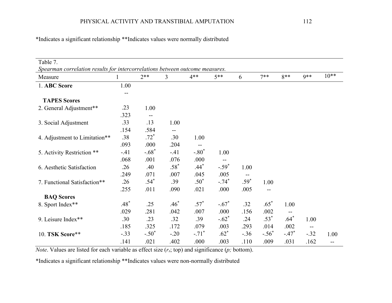| Table 7.<br>Spearman correlation results for intercorrelations between outcome measures. |        |         |        |                     |         |        |         |         |        |        |
|------------------------------------------------------------------------------------------|--------|---------|--------|---------------------|---------|--------|---------|---------|--------|--------|
| Measure                                                                                  |        | $2**$   | 3      | $4**$               | $5**$   | 6      | $7**$   | $8**$   | $9**$  | $10**$ |
| 1. ABC Score                                                                             | 1.00   |         |        |                     |         |        |         |         |        |        |
|                                                                                          |        |         |        |                     |         |        |         |         |        |        |
| <b>TAPES Scores</b>                                                                      |        |         |        |                     |         |        |         |         |        |        |
| 2. General Adjustment**                                                                  | .23    | 1.00    |        |                     |         |        |         |         |        |        |
|                                                                                          | .323   |         |        |                     |         |        |         |         |        |        |
| 3. Social Adjustment                                                                     | .33    | .13     | 1.00   |                     |         |        |         |         |        |        |
|                                                                                          | .154   | .584    |        |                     |         |        |         |         |        |        |
| 4. Adjustment to Limitation**                                                            | .38    | $.72*$  | .30    | 1.00                |         |        |         |         |        |        |
|                                                                                          | .093   | .000    | .204   |                     |         |        |         |         |        |        |
| 5. Activity Restriction **                                                               | $-.41$ | $-.68*$ | $-.41$ | $-.80*$             | 1.00    |        |         |         |        |        |
|                                                                                          | .068   | .001    | .076   | .000                |         |        |         |         |        |        |
| 6. Aesthetic Satisfaction                                                                | .26    | .40     | $.58*$ | $.44*$              | $-.59*$ | 1.00   |         |         |        |        |
|                                                                                          | .249   | .071    | .007   | .045                | .005    |        |         |         |        |        |
| 7. Functional Satisfaction**                                                             | .26    | $.54*$  | .39    | $.50*$              | $-.74*$ | $.59*$ | 1.00    |         |        |        |
|                                                                                          | .255   | .011    | .090   | .021                | .000    | .005   | --      |         |        |        |
| <b>BAQ Scores</b>                                                                        |        |         |        |                     |         |        |         |         |        |        |
| 8. Sport Index**                                                                         | $.48*$ | .25     | $.46*$ | $.57*$              | $-.67*$ | .32    | $.65*$  | 1.00    |        |        |
|                                                                                          | .029   | .281    | .042   | .007                | .000    | .156   | .002    |         |        |        |
| 9. Leisure Index**                                                                       | .30    | .23     | .32    | .39                 | $-.62*$ | .24    | $.53*$  | $.64*$  | 1.00   |        |
|                                                                                          | .185   | .325    | .172   | .079                | .003    | .293   | .014    | .002    | $- -$  |        |
| 10. TSK Score**                                                                          | $-.33$ | $-.50*$ | $-.20$ | $-.71$ <sup>*</sup> | $.62*$  | $-.36$ | $-.56*$ | $-.47*$ | $-.32$ | 1.00   |
|                                                                                          | .141   | .021    | .402   | .000                | .003    | .110   | .009    | .031    | .162   | --     |

\*Indicates a significant relationship \*\*Indicates values were normally distributed

*Note*. Values are listed for each variable as effect size (*rs*; top) and significance (*p;* bottom).

\*Indicates a significant relationship \*\*Indicates values were non-normally distributed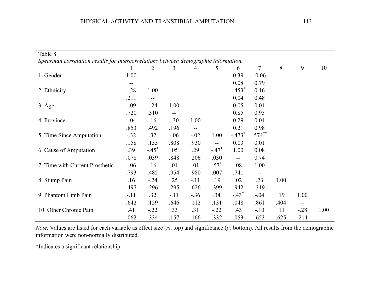| Table 8.                                                                            |        |                     |                   |        |                                               |          |                |      |                          |      |  |
|-------------------------------------------------------------------------------------|--------|---------------------|-------------------|--------|-----------------------------------------------|----------|----------------|------|--------------------------|------|--|
| Spearman correlation results for intercorrelations between demographic information. |        |                     |                   |        |                                               |          |                |      |                          |      |  |
|                                                                                     |        | 2                   | 3                 | 4      | 5                                             | 6        | $\overline{7}$ | 8    | 9                        | 10   |  |
| 1. Gender                                                                           | 1.00   |                     |                   |        |                                               | 0.39     | $-0.06$        |      |                          |      |  |
|                                                                                     | --     |                     |                   |        |                                               | 0.08     | 0.79           |      |                          |      |  |
| 2. Ethnicity                                                                        | $-.28$ | 1.00                |                   |        |                                               | $-.453*$ | 0.16           |      |                          |      |  |
|                                                                                     | .211   | $\mathbf{u}$        |                   |        |                                               | 0.04     | 0.48           |      |                          |      |  |
| $3. \text{Age}$                                                                     | $-.09$ | $-.24$              | 1.00              |        |                                               | 0.05     | 0.01           |      |                          |      |  |
|                                                                                     | .720   | .310                | $\qquad \qquad -$ |        |                                               | 0.85     | 0.95           |      |                          |      |  |
| 4. Province                                                                         | $-.04$ | .16                 | $-.30$            | 1.00   |                                               | 0.29     | 0.01           |      |                          |      |  |
|                                                                                     | .853   | .492                | .196              | --     |                                               | 0.21     | 0.98           |      |                          |      |  |
| 5. Time Since Amputation                                                            | $-.32$ | .32                 | $-.06$            | $-.02$ | 1.00                                          | $-.473*$ | $.574***$      |      |                          |      |  |
|                                                                                     | .158   | .155                | .808              | .930   | $\mathord{\hspace{1pt}\text{--}\hspace{1pt}}$ | 0.03     | 0.01           |      |                          |      |  |
| 6. Cause of Amputation                                                              | .39    | $-.45$ <sup>*</sup> | .05               | .29    | $-.47*$                                       | 1.00     | 0.08           |      |                          |      |  |
|                                                                                     | .078   | .039                | .848              | .206   | .030                                          | $- -$    | 0.74           |      |                          |      |  |
| 7. Time with Current Prosthetic                                                     | $-.06$ | .16                 | .01               | .01    | $.57*$                                        | .08      | 1.00           |      |                          |      |  |
|                                                                                     | .793   | .485                | .954              | .980   | .007                                          | .741     | --             |      |                          |      |  |
| 8. Stump Pain                                                                       | .16    | $-.24$              | .25               | $-.11$ | .19                                           | .02      | .23            | 1.00 |                          |      |  |
|                                                                                     | .497   | .296                | .295              | .626   | .399                                          | .942     | .319           | --   |                          |      |  |
| 9. Phantom Limb Pain                                                                | $-.11$ | .32                 | $-.11$            | $-.36$ | .34                                           | $-.43*$  | $-.04$         | .19  | 1.00                     |      |  |
|                                                                                     | .642   | .159                | .646              | .112   | .131                                          | .048     | .861           | .404 | $\overline{\phantom{m}}$ |      |  |
| 10. Other Chronic Pain                                                              | .41    | $-.22$              | .33               | .31    | $-.22$                                        | .43      | $-.10$         | .11  | $-.28$                   | 1.00 |  |
|                                                                                     | .062   | .334                | .157              | .166   | .332                                          | .053     | .653           | .625 | .214                     | --   |  |

*Note*. Values are listed for each variable as effect size (*rs*; top) and significance (*p;* bottom). All results from the demographic information were non-normally distributed.

\*Indicates a significant relationship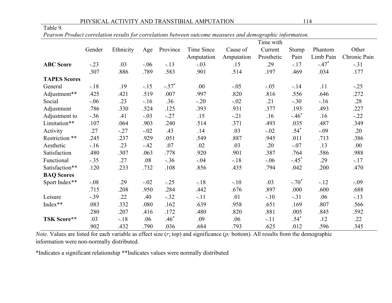#### PHYSICAL ACTIVITY AND TRANSTIBIAL AMPUTATION 114

| able |  |  |
|------|--|--|
|      |  |  |

*Pearson Product correlation results for correlations between outcome measures and demographic information.*

|                     |        |           |        |          | Time with  |            |            |         |           |              |  |
|---------------------|--------|-----------|--------|----------|------------|------------|------------|---------|-----------|--------------|--|
|                     | Gender | Ethnicity | Age    | Province | Time Since | Cause of   | Current    | Stump   | Phantom   | Other        |  |
|                     |        |           |        |          | Amputation | Amputation | Prosthetic | Pain    | Limb Pain | Chronic Pain |  |
| <b>ABC</b> Score    | $-.23$ | .03       | $-.06$ | $-.13$   | $-.03$     | .15        | .29        | $-.17$  | $-.47*$   | $-.31$       |  |
|                     | .307   | .886      | .789   | .583     | .901       | .514       | .197       | .469    | .034      | .177         |  |
| <b>TAPES Scores</b> |        |           |        |          |            |            |            |         |           |              |  |
| General             | $-.18$ | .19       | $-.15$ | $-.57*$  | .00        | $-.05$     | $-.05$     | $-.14$  | .11       | $-.25$       |  |
| Adjustment**        | .425   | .421      | .519   | .007     | .997       | .820       | .816       | .556    | .646      | .272         |  |
| Social              | $-.06$ | .23       | $-16$  | .36      | $-.20$     | $-.02$     | .21        | $-.30$  | $-.16$    | .28          |  |
| Adjustment          | .786   | .330      | .524   | .125     | .393       | .931       | .377       | .193    | .493      | .227         |  |
| Adjustment to       | $-.36$ | .41       | $-.03$ | $-.27$   | .15        | $-.21$     | .16        | $-.46*$ | .16       | $-.22$       |  |
| Limitation**        | .107   | .064      | .903   | .240     | .514       | .371       | .493       | .035    | .487      | .349         |  |
| Activity            | .27    | $-.27$    | $-.02$ | .43      | .14        | .03        | $-.02$     | $.54*$  | $-.09$    | .20          |  |
| Restriction **      | .245   | .237      | .929   | .051     | .549       | .887       | .945       | .011    | .713      | .386         |  |
| Aesthetic           | $-.16$ | .23       | $-.42$ | .07      | .02        | .03        | .20        | $-.07$  | .13       | .00.         |  |
| Satisfaction        | .480   | .307      | .063   | .778     | .920       | .901       | .387       | .764    | .586      | .988         |  |
| Functional          | $-.35$ | .27       | .08    | $-.36$   | $-.04$     | $-.18$     | $-.06$     | $-.45*$ | .29       | $-.17$       |  |
| Satisfaction**      | .120   | .233      | .732   | .108     | .856       | .435       | .794       | .042    | .200      | .470         |  |
| <b>BAQ Scores</b>   |        |           |        |          |            |            |            |         |           |              |  |
| Sport Index**       | $-.08$ | .29       | $-.02$ | $-.25$   | $-.18$     | $-.10$     | .03        | $-.70*$ | $-12$     | $-.09$       |  |
|                     | .715   | .208      | .950   | .284     | .442       | .676       | .897       | .000    | .600      | .688         |  |
| Leisure             | $-.39$ | .22       | .40    | $-.32$   | $-.11$     | .01        | $-.10$     | $-.31$  | .06       | $-.13$       |  |
| Index**             | .083   | .332      | .080   | .162     | .639       | .958       | .651       | .169    | .807      | .566         |  |
|                     | .280   | .207      | .416   | .172     | .480       | .820       | .881       | .005    | .845      | .592         |  |
| TSK Score**         | .03    | $-.18$    | .06    | $.46*$   | .09        | .06        | $-.11$     | $.54*$  | .12       | .22          |  |
|                     | .902   | .432      | .790   | .036     | .684       | .793       | .625       | .012    | .596      | .345         |  |

*Note*. Values are listed for each variable as effect size (*r*; top) and significance (*p;* bottom). All results from the demographic information were non-normally distributed.

\*Indicates a significant relationship \*\*Indicates values were normally distributed